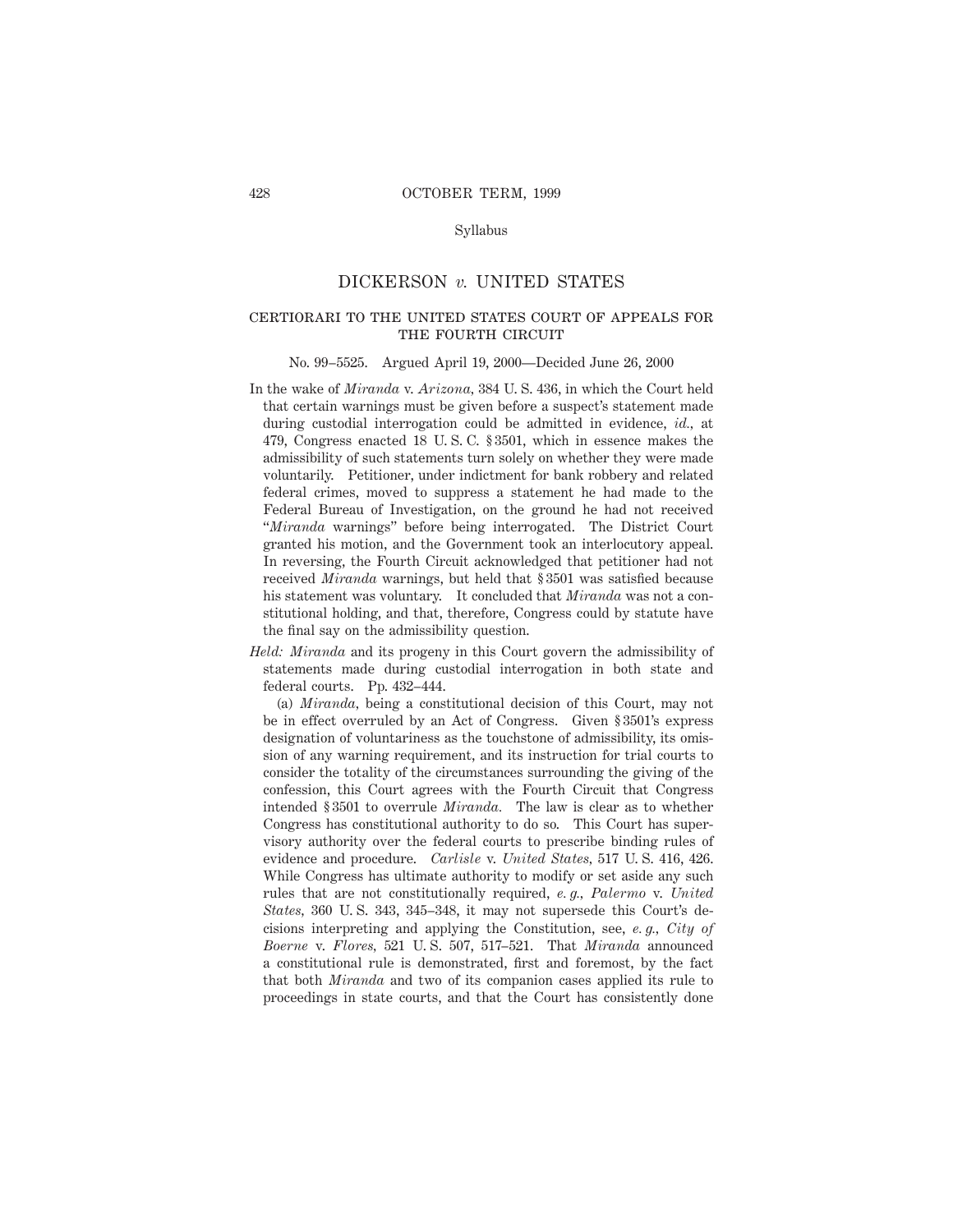#### Syllabus

#### DICKERSON *v.* UNITED STATES

# certiorari to the united states court of appeals for THE FOURTH CIRCUIT

#### No. 99–5525. Argued April 19, 2000—Decided June 26, 2000

- In the wake of *Miranda* v. *Arizona,* 384 U. S. 436, in which the Court held that certain warnings must be given before a suspect's statement made during custodial interrogation could be admitted in evidence, *id.,* at 479, Congress enacted 18 U. S. C. § 3501, which in essence makes the admissibility of such statements turn solely on whether they were made voluntarily. Petitioner, under indictment for bank robbery and related federal crimes, moved to suppress a statement he had made to the Federal Bureau of Investigation, on the ground he had not received "*Miranda* warnings" before being interrogated. The District Court granted his motion, and the Government took an interlocutory appeal. In reversing, the Fourth Circuit acknowledged that petitioner had not received *Miranda* warnings, but held that § 3501 was satisfied because his statement was voluntary. It concluded that *Miranda* was not a constitutional holding, and that, therefore, Congress could by statute have the final say on the admissibility question.
- *Held: Miranda* and its progeny in this Court govern the admissibility of statements made during custodial interrogation in both state and federal courts. Pp. 432–444.

(a) *Miranda,* being a constitutional decision of this Court, may not be in effect overruled by an Act of Congress. Given § 3501's express designation of voluntariness as the touchstone of admissibility, its omission of any warning requirement, and its instruction for trial courts to consider the totality of the circumstances surrounding the giving of the confession, this Court agrees with the Fourth Circuit that Congress intended § 3501 to overrule *Miranda.* The law is clear as to whether Congress has constitutional authority to do so. This Court has supervisory authority over the federal courts to prescribe binding rules of evidence and procedure. *Carlisle* v. *United States,* 517 U. S. 416, 426. While Congress has ultimate authority to modify or set aside any such rules that are not constitutionally required, *e. g., Palermo* v. *United States,* 360 U. S. 343, 345–348, it may not supersede this Court's decisions interpreting and applying the Constitution, see, *e. g., City of Boerne* v. *Flores,* 521 U. S. 507, 517–521. That *Miranda* announced a constitutional rule is demonstrated, first and foremost, by the fact that both *Miranda* and two of its companion cases applied its rule to proceedings in state courts, and that the Court has consistently done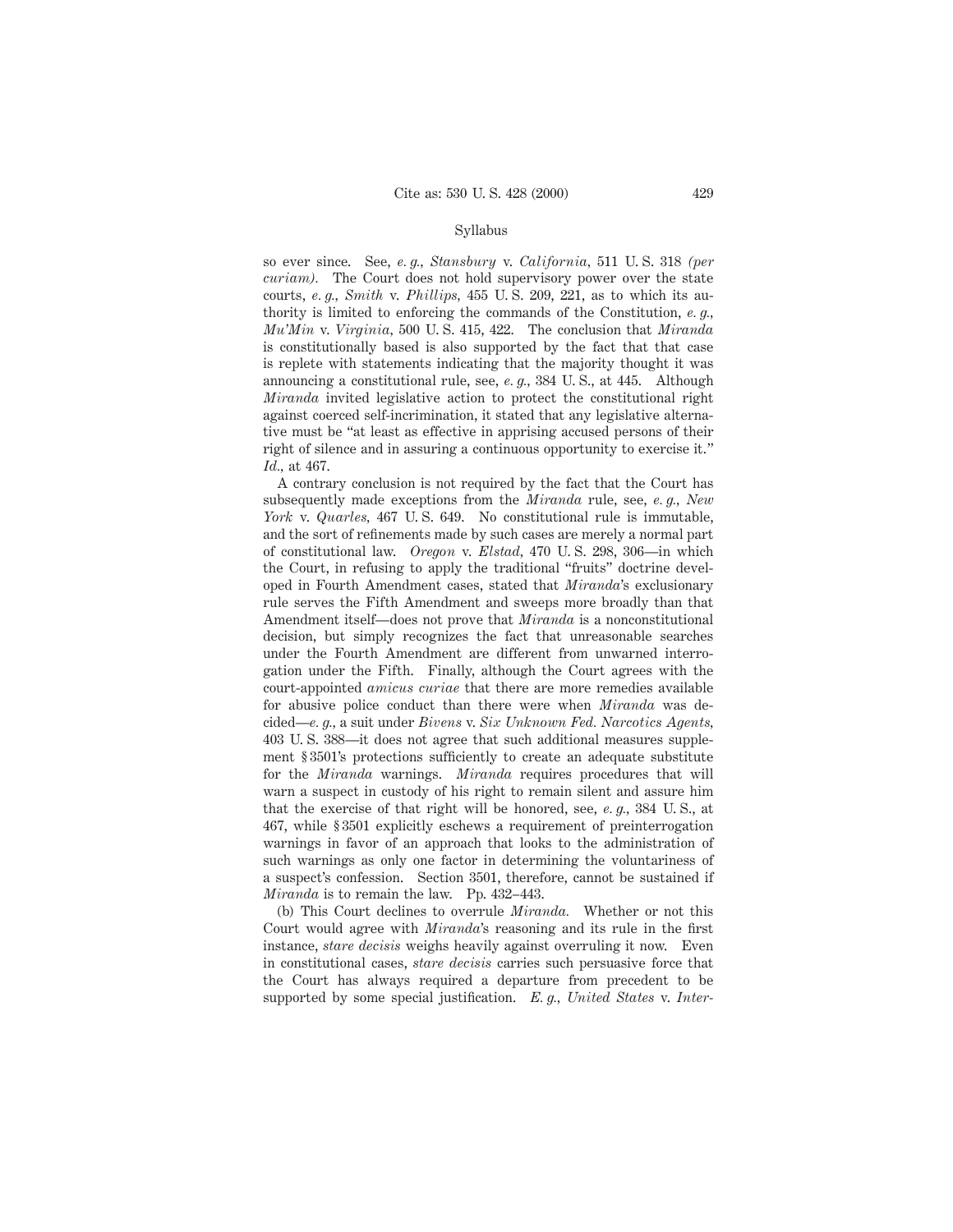#### Syllabus

so ever since. See, *e. g., Stansbury* v. *California,* 511 U. S. 318 *(per curiam).* The Court does not hold supervisory power over the state courts, *e. g., Smith* v. *Phillips,* 455 U. S. 209, 221, as to which its authority is limited to enforcing the commands of the Constitution, *e. g., Mu'Min* v. *Virginia,* 500 U. S. 415, 422. The conclusion that *Miranda* is constitutionally based is also supported by the fact that that case is replete with statements indicating that the majority thought it was announcing a constitutional rule, see, *e. g.,* 384 U. S., at 445. Although *Miranda* invited legislative action to protect the constitutional right against coerced self-incrimination, it stated that any legislative alternative must be "at least as effective in apprising accused persons of their right of silence and in assuring a continuous opportunity to exercise it." *Id.,* at 467.

A contrary conclusion is not required by the fact that the Court has subsequently made exceptions from the *Miranda* rule, see, *e. g., New York* v. *Quarles,* 467 U. S. 649. No constitutional rule is immutable, and the sort of refinements made by such cases are merely a normal part of constitutional law. *Oregon* v. *Elstad,* 470 U. S. 298, 306—in which the Court, in refusing to apply the traditional "fruits" doctrine developed in Fourth Amendment cases, stated that *Miranda*'s exclusionary rule serves the Fifth Amendment and sweeps more broadly than that Amendment itself—does not prove that *Miranda* is a nonconstitutional decision, but simply recognizes the fact that unreasonable searches under the Fourth Amendment are different from unwarned interrogation under the Fifth. Finally, although the Court agrees with the court-appointed *amicus curiae* that there are more remedies available for abusive police conduct than there were when *Miranda* was decided—*e. g.,* a suit under *Bivens* v. *Six Unknown Fed. Narcotics Agents,* 403 U. S. 388—it does not agree that such additional measures supplement § 3501's protections sufficiently to create an adequate substitute for the *Miranda* warnings. *Miranda* requires procedures that will warn a suspect in custody of his right to remain silent and assure him that the exercise of that right will be honored, see, *e. g.,* 384 U. S., at 467, while § 3501 explicitly eschews a requirement of preinterrogation warnings in favor of an approach that looks to the administration of such warnings as only one factor in determining the voluntariness of a suspect's confession. Section 3501, therefore, cannot be sustained if *Miranda* is to remain the law. Pp. 432–443.

(b) This Court declines to overrule *Miranda.* Whether or not this Court would agree with *Miranda*'s reasoning and its rule in the first instance, *stare decisis* weighs heavily against overruling it now. Even in constitutional cases, *stare decisis* carries such persuasive force that the Court has always required a departure from precedent to be supported by some special justification. *E. g., United States* v. *Inter-*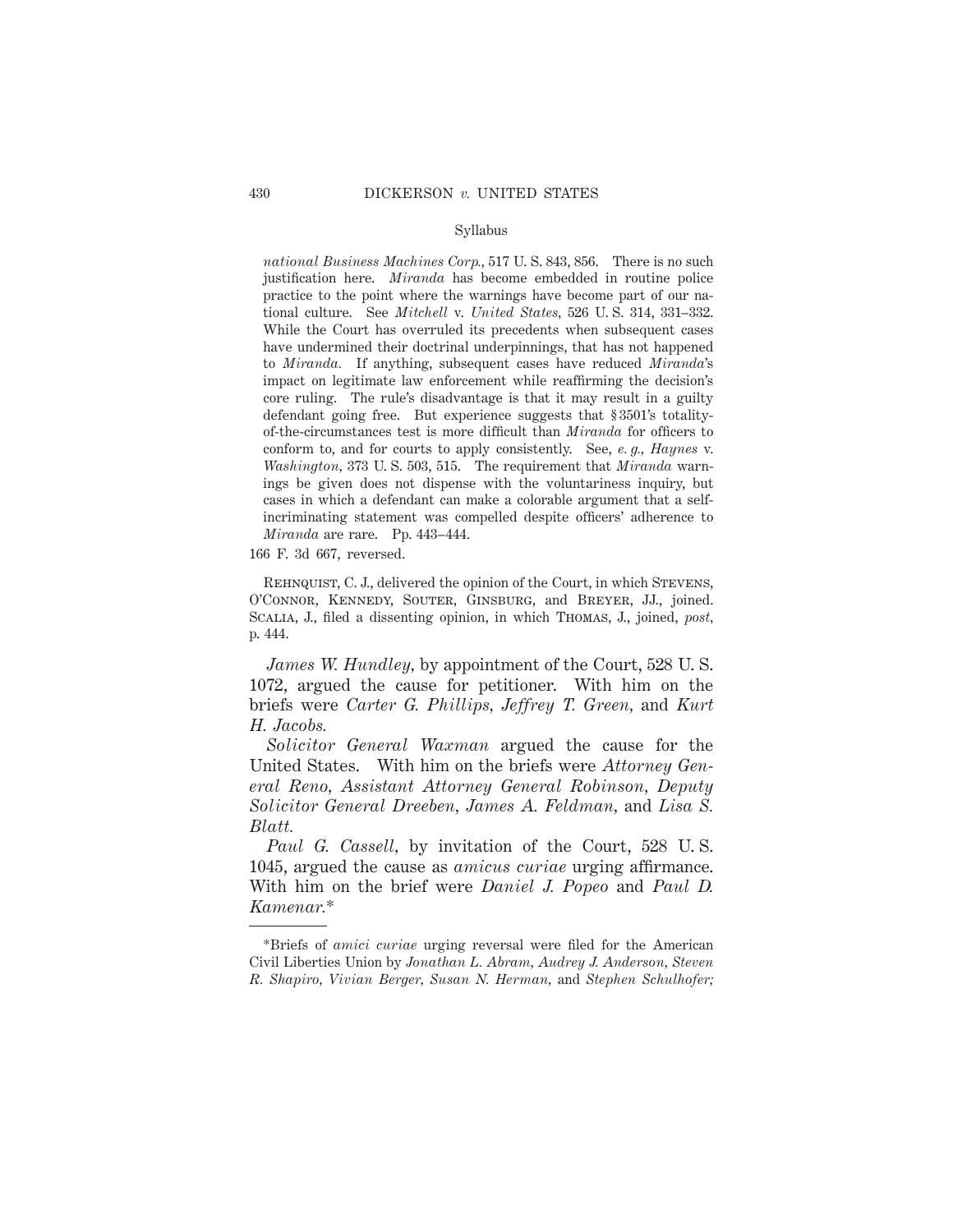#### Syllabus

*national Business Machines Corp.,* 517 U. S. 843, 856. There is no such justification here. *Miranda* has become embedded in routine police practice to the point where the warnings have become part of our national culture. See *Mitchell* v. *United States,* 526 U. S. 314, 331–332. While the Court has overruled its precedents when subsequent cases have undermined their doctrinal underpinnings, that has not happened to *Miranda.* If anything, subsequent cases have reduced *Miranda*'s impact on legitimate law enforcement while reaffirming the decision's core ruling. The rule's disadvantage is that it may result in a guilty defendant going free. But experience suggests that § 3501's totalityof-the-circumstances test is more difficult than *Miranda* for officers to conform to, and for courts to apply consistently. See, *e. g., Haynes* v. *Washington,* 373 U. S. 503, 515. The requirement that *Miranda* warnings be given does not dispense with the voluntariness inquiry, but cases in which a defendant can make a colorable argument that a selfincriminating statement was compelled despite officers' adherence to *Miranda* are rare. Pp. 443–444.

166 F. 3d 667, reversed.

REHNQUIST, C. J., delivered the opinion of the Court, in which STEVENS, O'Connor, Kennedy, Souter, Ginsburg, and Breyer, JJ., joined. Scalia, J., filed a dissenting opinion, in which Thomas, J., joined, *post,* p. 444.

*James W. Hundley,* by appointment of the Court, 528 U. S. 1072, argued the cause for petitioner. With him on the briefs were *Carter G. Phillips, Jeffrey T. Green,* and *Kurt H. Jacobs.*

*Solicitor General Waxman* argued the cause for the United States. With him on the briefs were *Attorney General Reno, Assistant Attorney General Robinson, Deputy Solicitor General Dreeben, James A. Feldman,* and *Lisa S. Blatt.*

*Paul G. Cassell,* by invitation of the Court, 528 U. S. 1045, argued the cause as *amicus curiae* urging affirmance. With him on the brief were *Daniel J. Popeo* and *Paul D. Kamenar.*\*

<sup>\*</sup>Briefs of *amici curiae* urging reversal were filed for the American Civil Liberties Union by *Jonathan L. Abram, Audrey J. Anderson, Steven R. Shapiro, Vivian Berger, Susan N. Herman,* and *Stephen Schulhofer;*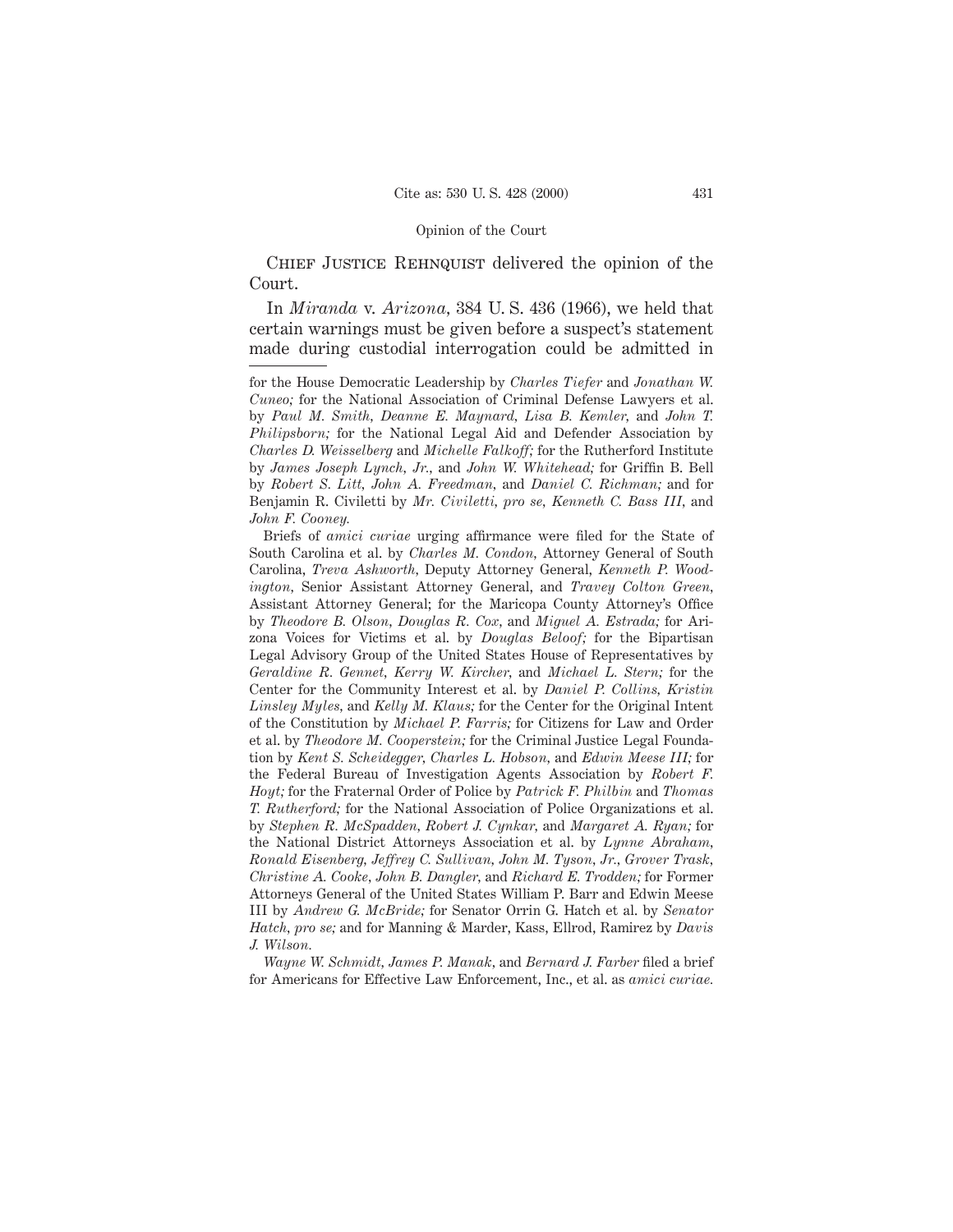CHIEF JUSTICE REHNQUIST delivered the opinion of the Court.

In *Miranda* v. *Arizona,* 384 U. S. 436 (1966), we held that certain warnings must be given before a suspect's statement made during custodial interrogation could be admitted in

*Wayne W. Schmidt, James P. Manak,* and *Bernard J. Farber* filed a brief for Americans for Effective Law Enforcement, Inc., et al. as *amici curiae.*

for the House Democratic Leadership by *Charles Tiefer* and *Jonathan W. Cuneo;* for the National Association of Criminal Defense Lawyers et al. by *Paul M. Smith, Deanne E. Maynard, Lisa B. Kemler,* and *John T. Philipsborn;* for the National Legal Aid and Defender Association by *Charles D. Weisselberg* and *Michelle Falkoff;* for the Rutherford Institute by *James Joseph Lynch, Jr.,* and *John W. Whitehead;* for Griffin B. Bell by *Robert S. Litt, John A. Freedman,* and *Daniel C. Richman;* and for Benjamin R. Civiletti by *Mr. Civiletti, pro se, Kenneth C. Bass III,* and *John F. Cooney.*

Briefs of *amici curiae* urging affirmance were filed for the State of South Carolina et al. by *Charles M. Condon,* Attorney General of South Carolina, *Treva Ashworth,* Deputy Attorney General, *Kenneth P. Woodington,* Senior Assistant Attorney General, and *Travey Colton Green,* Assistant Attorney General; for the Maricopa County Attorney's Office by *Theodore B. Olson, Douglas R. Cox,* and *Miguel A. Estrada;* for Arizona Voices for Victims et al. by *Douglas Beloof;* for the Bipartisan Legal Advisory Group of the United States House of Representatives by *Geraldine R. Gennet, Kerry W. Kircher,* and *Michael L. Stern;* for the Center for the Community Interest et al. by *Daniel P. Collins, Kristin Linsley Myles,* and *Kelly M. Klaus;* for the Center for the Original Intent of the Constitution by *Michael P. Farris;* for Citizens for Law and Order et al. by *Theodore M. Cooperstein;* for the Criminal Justice Legal Foundation by *Kent S. Scheidegger, Charles L. Hobson,* and *Edwin Meese III;* for the Federal Bureau of Investigation Agents Association by *Robert F. Hoyt;* for the Fraternal Order of Police by *Patrick F. Philbin* and *Thomas T. Rutherford;* for the National Association of Police Organizations et al. by *Stephen R. McSpadden, Robert J. Cynkar,* and *Margaret A. Ryan;* for the National District Attorneys Association et al. by *Lynne Abraham, Ronald Eisenberg, Jeffrey C. Sullivan, John M. Tyson, Jr., Grover Trask, Christine A. Cooke, John B. Dangler,* and *Richard E. Trodden;* for Former Attorneys General of the United States William P. Barr and Edwin Meese III by *Andrew G. McBride;* for Senator Orrin G. Hatch et al. by *Senator Hatch, pro se;* and for Manning & Marder, Kass, Ellrod, Ramirez by *Davis J. Wilson.*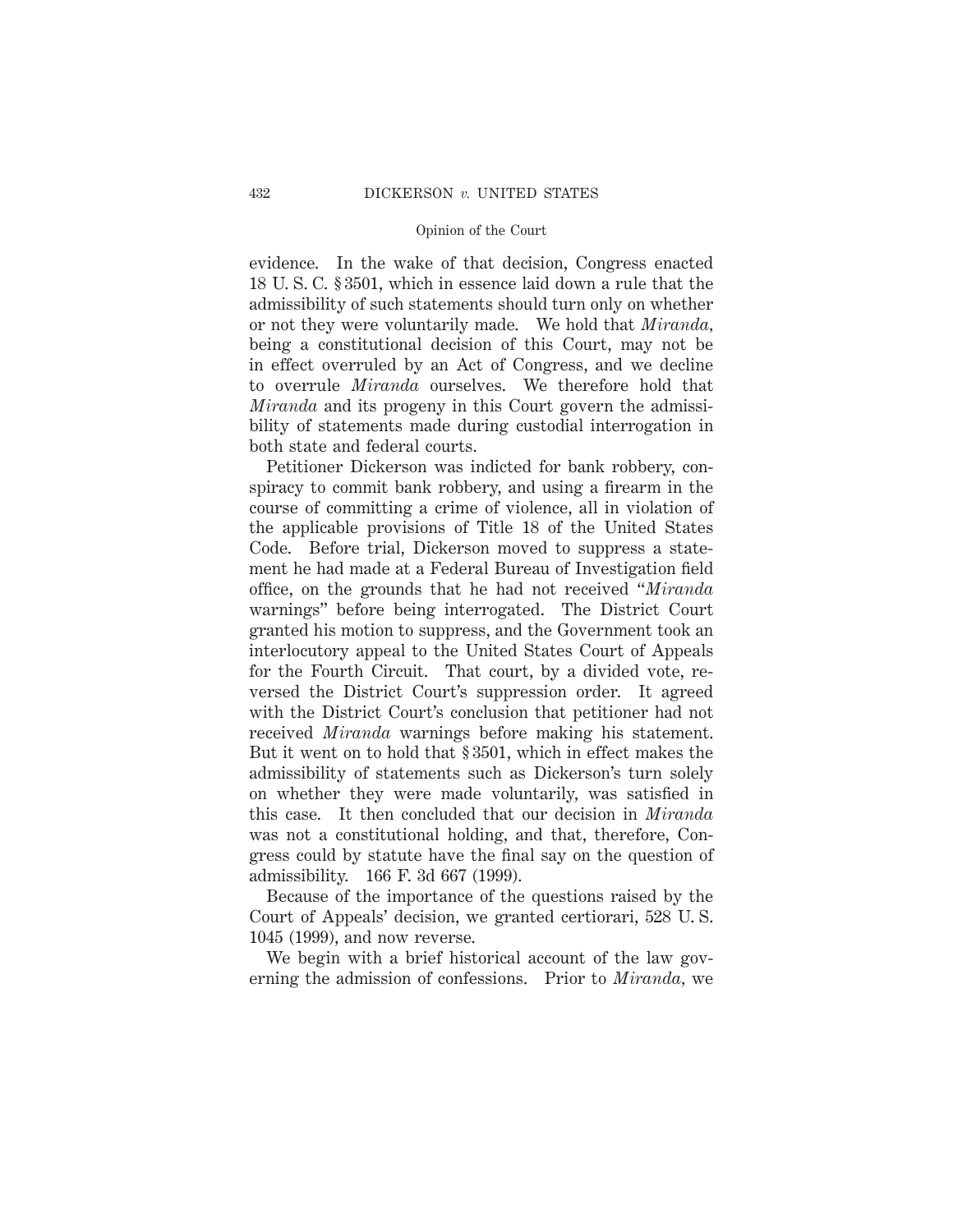evidence. In the wake of that decision, Congress enacted 18 U. S. C. § 3501, which in essence laid down a rule that the admissibility of such statements should turn only on whether or not they were voluntarily made. We hold that *Miranda,* being a constitutional decision of this Court, may not be in effect overruled by an Act of Congress, and we decline to overrule *Miranda* ourselves. We therefore hold that *Miranda* and its progeny in this Court govern the admissibility of statements made during custodial interrogation in both state and federal courts.

Petitioner Dickerson was indicted for bank robbery, conspiracy to commit bank robbery, and using a firearm in the course of committing a crime of violence, all in violation of the applicable provisions of Title 18 of the United States Code. Before trial, Dickerson moved to suppress a statement he had made at a Federal Bureau of Investigation field office, on the grounds that he had not received "*Miranda* warnings" before being interrogated. The District Court granted his motion to suppress, and the Government took an interlocutory appeal to the United States Court of Appeals for the Fourth Circuit. That court, by a divided vote, reversed the District Court's suppression order. It agreed with the District Court's conclusion that petitioner had not received *Miranda* warnings before making his statement. But it went on to hold that § 3501, which in effect makes the admissibility of statements such as Dickerson's turn solely on whether they were made voluntarily, was satisfied in this case. It then concluded that our decision in *Miranda* was not a constitutional holding, and that, therefore, Congress could by statute have the final say on the question of admissibility. 166 F. 3d 667 (1999).

Because of the importance of the questions raised by the Court of Appeals' decision, we granted certiorari, 528 U. S. 1045 (1999), and now reverse.

We begin with a brief historical account of the law governing the admission of confessions. Prior to *Miranda,* we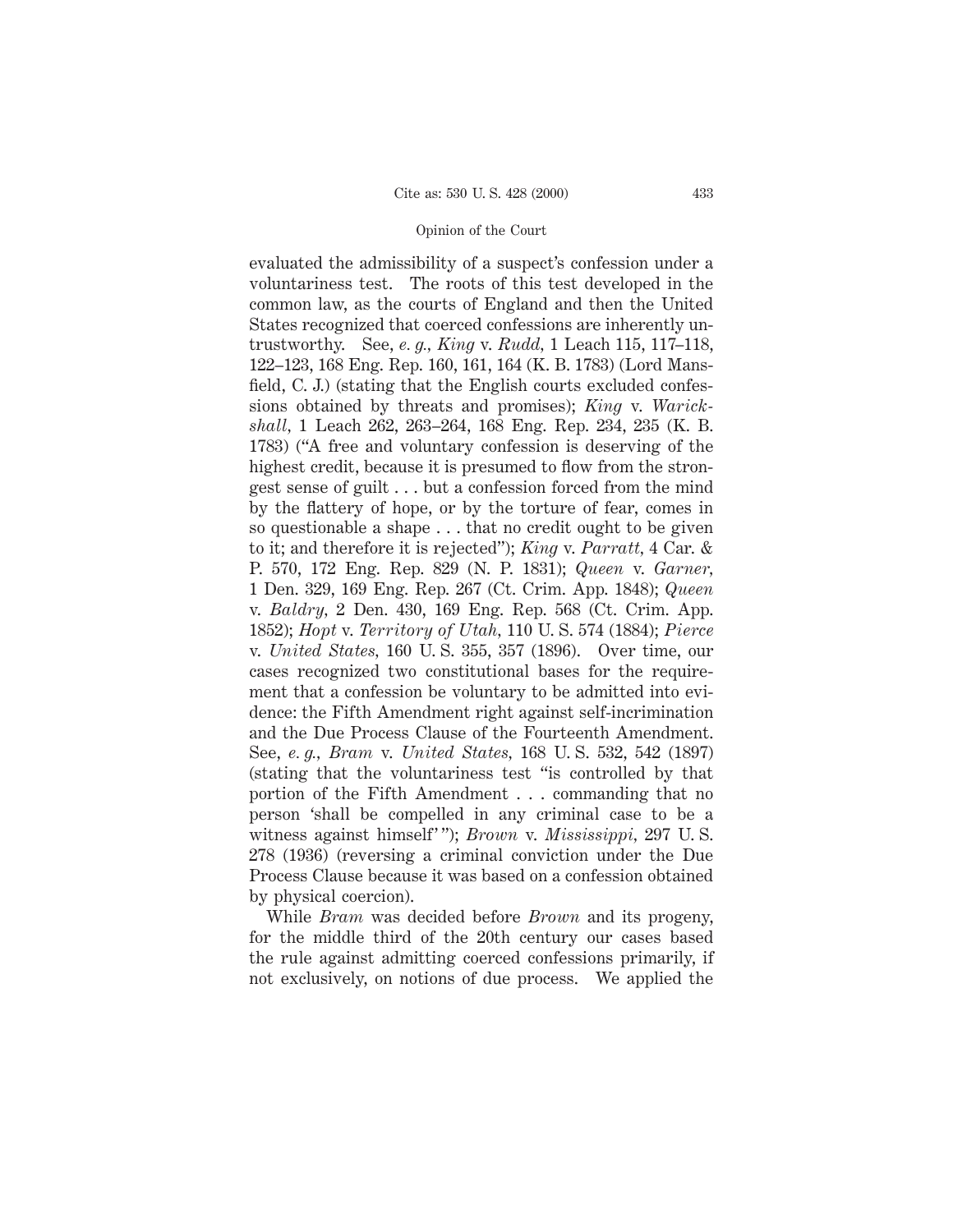evaluated the admissibility of a suspect's confession under a voluntariness test. The roots of this test developed in the common law, as the courts of England and then the United States recognized that coerced confessions are inherently untrustworthy. See, *e. g., King* v. *Rudd,* 1 Leach 115, 117–118, 122–123, 168 Eng. Rep. 160, 161, 164 (K. B. 1783) (Lord Mansfield, C. J.) (stating that the English courts excluded confessions obtained by threats and promises); *King* v. *Warickshall,* 1 Leach 262, 263–264, 168 Eng. Rep. 234, 235 (K. B. 1783) ("A free and voluntary confession is deserving of the highest credit, because it is presumed to flow from the strongest sense of guilt . . . but a confession forced from the mind by the flattery of hope, or by the torture of fear, comes in so questionable a shape . . . that no credit ought to be given to it; and therefore it is rejected"); *King* v. *Parratt,* 4 Car. & P. 570, 172 Eng. Rep. 829 (N. P. 1831); *Queen* v. *Garner,* 1 Den. 329, 169 Eng. Rep. 267 (Ct. Crim. App. 1848); *Queen* v. *Baldry,* 2 Den. 430, 169 Eng. Rep. 568 (Ct. Crim. App. 1852); *Hopt* v. *Territory of Utah,* 110 U. S. 574 (1884); *Pierce* v. *United States,* 160 U. S. 355, 357 (1896). Over time, our cases recognized two constitutional bases for the requirement that a confession be voluntary to be admitted into evidence: the Fifth Amendment right against self-incrimination and the Due Process Clause of the Fourteenth Amendment. See, *e. g., Bram* v. *United States,* 168 U. S. 532, 542 (1897) (stating that the voluntariness test "is controlled by that portion of the Fifth Amendment . . . commanding that no person 'shall be compelled in any criminal case to be a witness against himself' "); *Brown* v. *Mississippi,* 297 U. S. 278 (1936) (reversing a criminal conviction under the Due Process Clause because it was based on a confession obtained by physical coercion).

While *Bram* was decided before *Brown* and its progeny, for the middle third of the 20th century our cases based the rule against admitting coerced confessions primarily, if not exclusively, on notions of due process. We applied the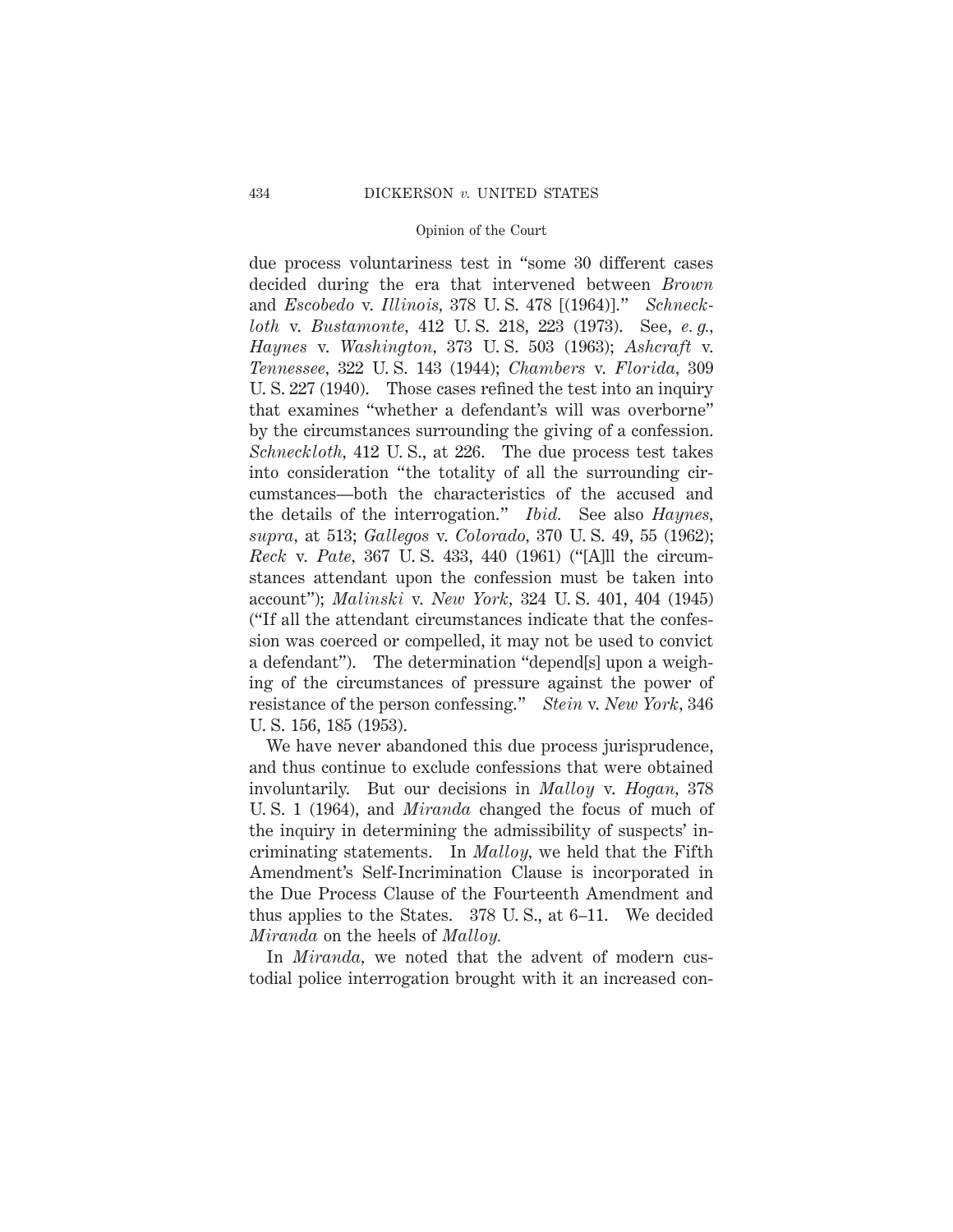due process voluntariness test in "some 30 different cases decided during the era that intervened between *Brown* and *Escobedo* v. *Illinois,* 378 U. S. 478 [(1964)]." *Schneckloth* v. *Bustamonte,* 412 U. S. 218, 223 (1973). See, *e. g., Haynes* v. *Washington,* 373 U. S. 503 (1963); *Ashcraft* v. *Tennessee,* 322 U. S. 143 (1944); *Chambers* v. *Florida,* 309 U. S. 227 (1940). Those cases refined the test into an inquiry that examines "whether a defendant's will was overborne" by the circumstances surrounding the giving of a confession. *Schneckloth,* 412 U. S., at 226. The due process test takes into consideration "the totality of all the surrounding circumstances—both the characteristics of the accused and the details of the interrogation." *Ibid.* See also *Haynes, supra,* at 513; *Gallegos* v. *Colorado,* 370 U. S. 49, 55 (1962); *Reck* v. *Pate,* 367 U. S. 433, 440 (1961) ("[A]ll the circumstances attendant upon the confession must be taken into account"); *Malinski* v. *New York,* 324 U. S. 401, 404 (1945) ("If all the attendant circumstances indicate that the confession was coerced or compelled, it may not be used to convict a defendant"). The determination "depend[s] upon a weighing of the circumstances of pressure against the power of resistance of the person confessing." *Stein* v. *New York,* 346 U. S. 156, 185 (1953).

We have never abandoned this due process jurisprudence, and thus continue to exclude confessions that were obtained involuntarily. But our decisions in *Malloy* v. *Hogan,* 378 U. S. 1 (1964), and *Miranda* changed the focus of much of the inquiry in determining the admissibility of suspects' incriminating statements. In *Malloy,* we held that the Fifth Amendment's Self-Incrimination Clause is incorporated in the Due Process Clause of the Fourteenth Amendment and thus applies to the States. 378 U. S., at 6–11. We decided *Miranda* on the heels of *Malloy.*

In *Miranda,* we noted that the advent of modern custodial police interrogation brought with it an increased con-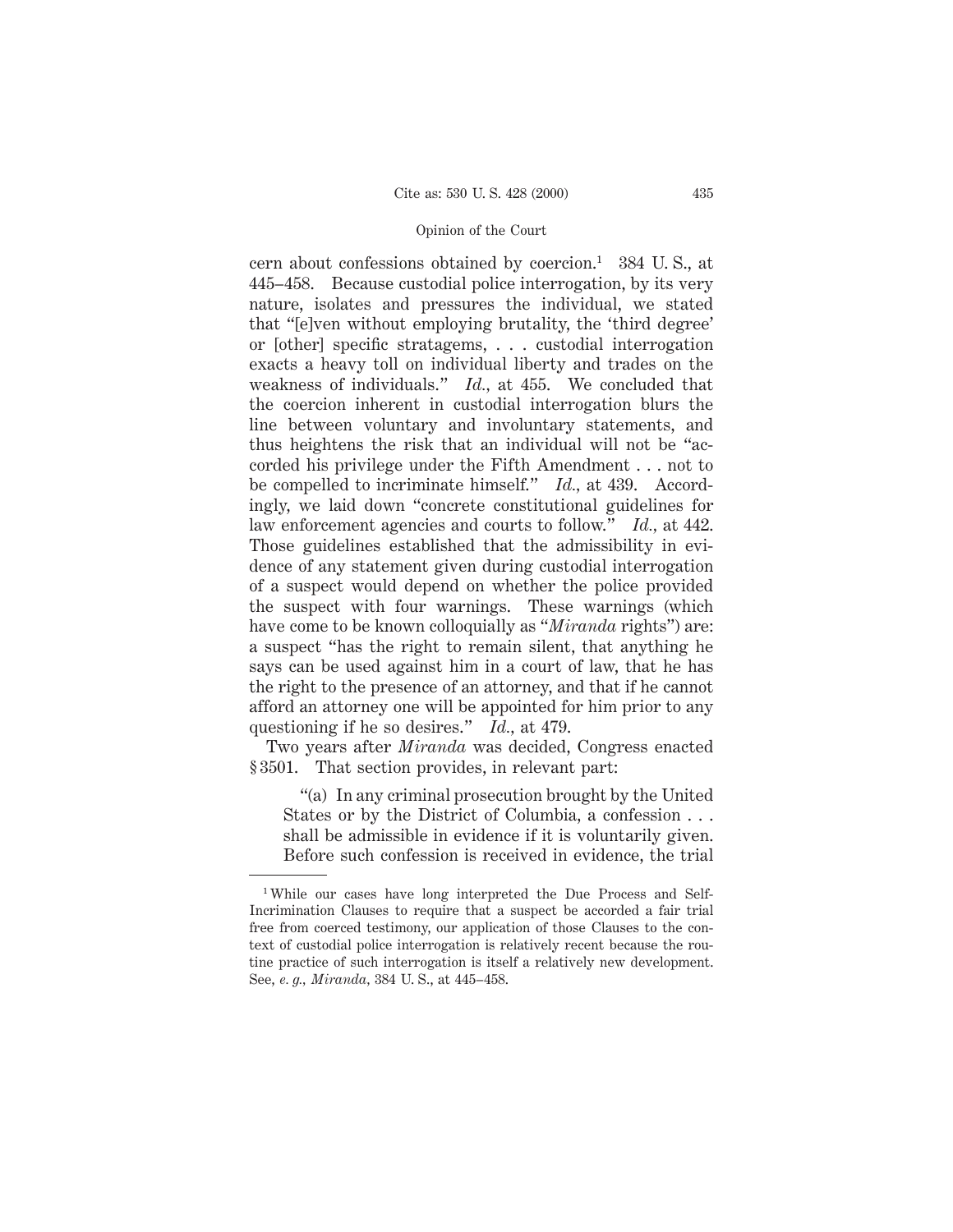cern about confessions obtained by coercion.1 384 U. S., at 445–458. Because custodial police interrogation, by its very nature, isolates and pressures the individual, we stated that "[e]ven without employing brutality, the 'third degree' or [other] specific stratagems, . . . custodial interrogation exacts a heavy toll on individual liberty and trades on the weakness of individuals." *Id.,* at 455. We concluded that the coercion inherent in custodial interrogation blurs the line between voluntary and involuntary statements, and thus heightens the risk that an individual will not be "accorded his privilege under the Fifth Amendment . . . not to be compelled to incriminate himself." *Id.,* at 439. Accordingly, we laid down "concrete constitutional guidelines for law enforcement agencies and courts to follow." *Id.,* at 442. Those guidelines established that the admissibility in evidence of any statement given during custodial interrogation of a suspect would depend on whether the police provided the suspect with four warnings. These warnings (which have come to be known colloquially as "*Miranda* rights") are: a suspect "has the right to remain silent, that anything he says can be used against him in a court of law, that he has the right to the presence of an attorney, and that if he cannot afford an attorney one will be appointed for him prior to any questioning if he so desires." *Id.,* at 479.

Two years after *Miranda* was decided, Congress enacted § 3501. That section provides, in relevant part:

"(a) In any criminal prosecution brought by the United States or by the District of Columbia, a confession . . . shall be admissible in evidence if it is voluntarily given. Before such confession is received in evidence, the trial

<sup>1</sup> While our cases have long interpreted the Due Process and Self-Incrimination Clauses to require that a suspect be accorded a fair trial free from coerced testimony, our application of those Clauses to the context of custodial police interrogation is relatively recent because the routine practice of such interrogation is itself a relatively new development. See, *e. g., Miranda,* 384 U. S., at 445–458.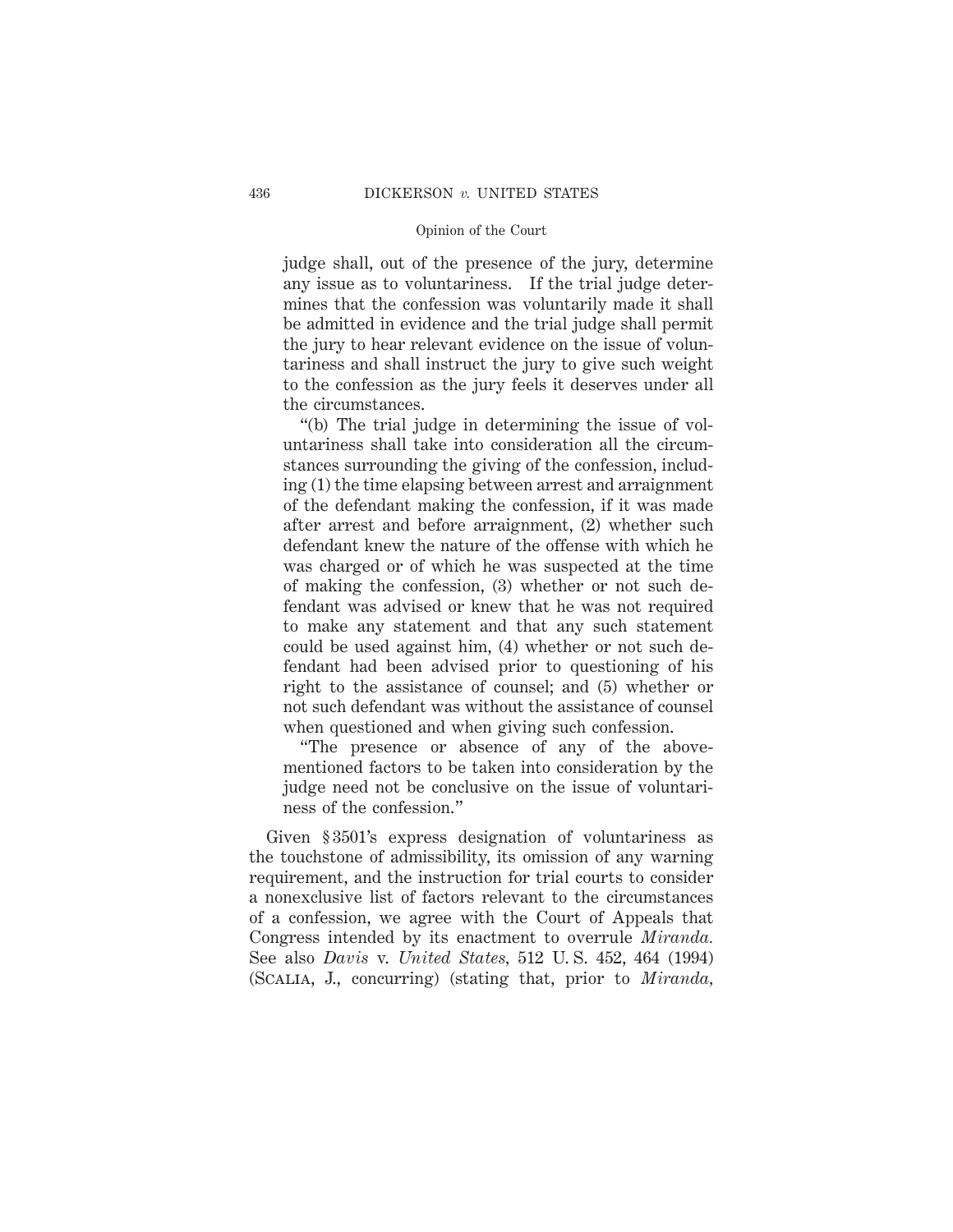judge shall, out of the presence of the jury, determine any issue as to voluntariness. If the trial judge determines that the confession was voluntarily made it shall be admitted in evidence and the trial judge shall permit the jury to hear relevant evidence on the issue of voluntariness and shall instruct the jury to give such weight to the confession as the jury feels it deserves under all the circumstances.

"(b) The trial judge in determining the issue of voluntariness shall take into consideration all the circumstances surrounding the giving of the confession, including (1) the time elapsing between arrest and arraignment of the defendant making the confession, if it was made after arrest and before arraignment, (2) whether such defendant knew the nature of the offense with which he was charged or of which he was suspected at the time of making the confession, (3) whether or not such defendant was advised or knew that he was not required to make any statement and that any such statement could be used against him, (4) whether or not such defendant had been advised prior to questioning of his right to the assistance of counsel; and (5) whether or not such defendant was without the assistance of counsel when questioned and when giving such confession.

"The presence or absence of any of the abovementioned factors to be taken into consideration by the judge need not be conclusive on the issue of voluntariness of the confession."

Given § 3501's express designation of voluntariness as the touchstone of admissibility, its omission of any warning requirement, and the instruction for trial courts to consider a nonexclusive list of factors relevant to the circumstances of a confession, we agree with the Court of Appeals that Congress intended by its enactment to overrule *Miranda.* See also *Davis* v. *United States,* 512 U. S. 452, 464 (1994) (Scalia, J., concurring) (stating that, prior to *Miranda,*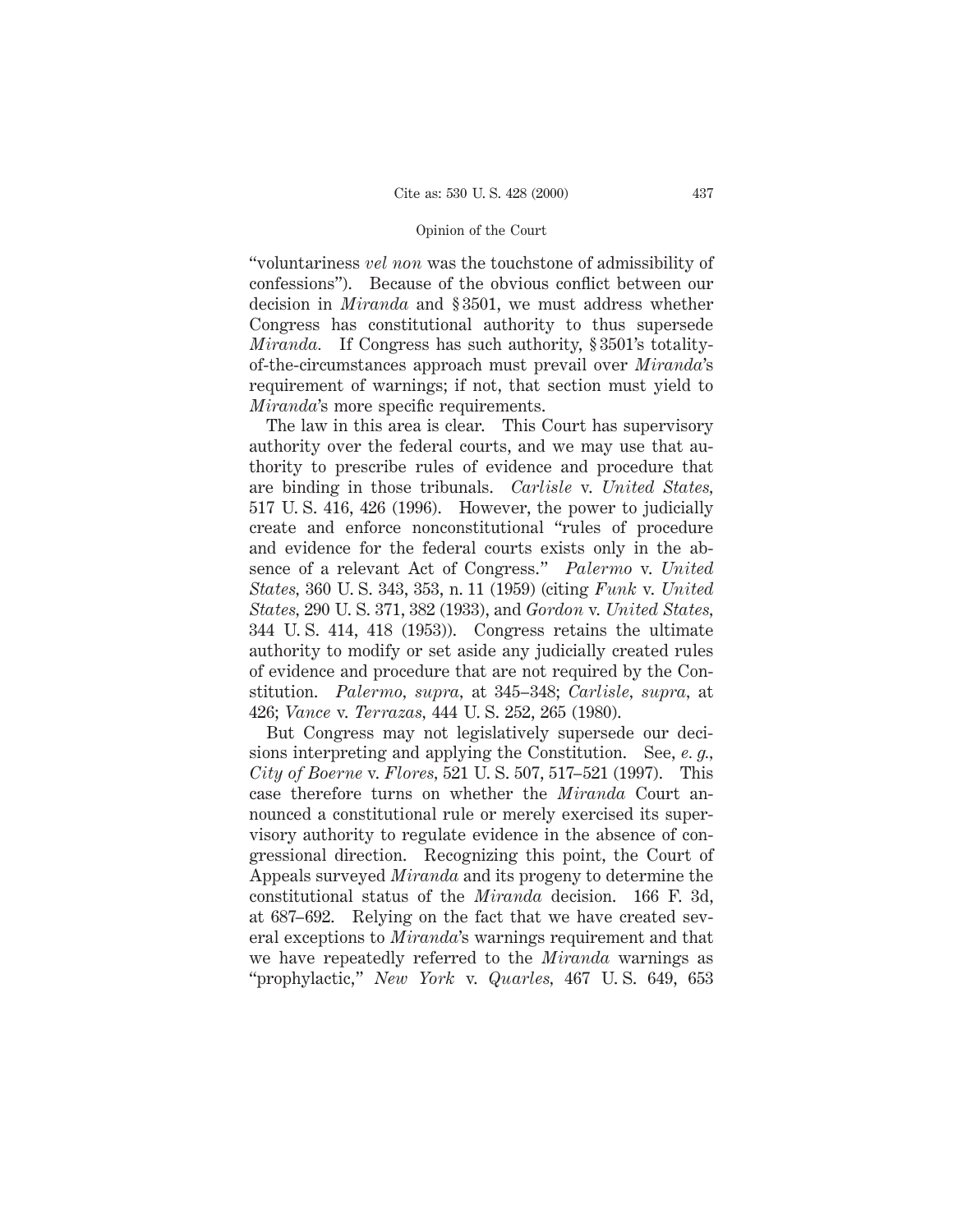"voluntariness *vel non* was the touchstone of admissibility of confessions"). Because of the obvious conflict between our decision in *Miranda* and § 3501, we must address whether Congress has constitutional authority to thus supersede *Miranda.* If Congress has such authority, § 3501's totalityof-the-circumstances approach must prevail over *Miranda*'s requirement of warnings; if not, that section must yield to *Miranda*'s more specific requirements.

The law in this area is clear. This Court has supervisory authority over the federal courts, and we may use that authority to prescribe rules of evidence and procedure that are binding in those tribunals. *Carlisle* v. *United States,* 517 U. S. 416, 426 (1996). However, the power to judicially create and enforce nonconstitutional "rules of procedure and evidence for the federal courts exists only in the absence of a relevant Act of Congress." *Palermo* v. *United States,* 360 U. S. 343, 353, n. 11 (1959) (citing *Funk* v. *United States,* 290 U. S. 371, 382 (1933), and *Gordon* v. *United States,* 344 U. S. 414, 418 (1953)). Congress retains the ultimate authority to modify or set aside any judicially created rules of evidence and procedure that are not required by the Constitution. *Palermo, supra,* at 345–348; *Carlisle, supra,* at 426; *Vance* v. *Terrazas,* 444 U. S. 252, 265 (1980).

But Congress may not legislatively supersede our decisions interpreting and applying the Constitution. See, *e. g., City of Boerne* v. *Flores,* 521 U. S. 507, 517–521 (1997). This case therefore turns on whether the *Miranda* Court announced a constitutional rule or merely exercised its supervisory authority to regulate evidence in the absence of congressional direction. Recognizing this point, the Court of Appeals surveyed *Miranda* and its progeny to determine the constitutional status of the *Miranda* decision. 166 F. 3d, at 687–692. Relying on the fact that we have created several exceptions to *Miranda*'s warnings requirement and that we have repeatedly referred to the *Miranda* warnings as "prophylactic," *New York* v. *Quarles,* 467 U. S. 649, 653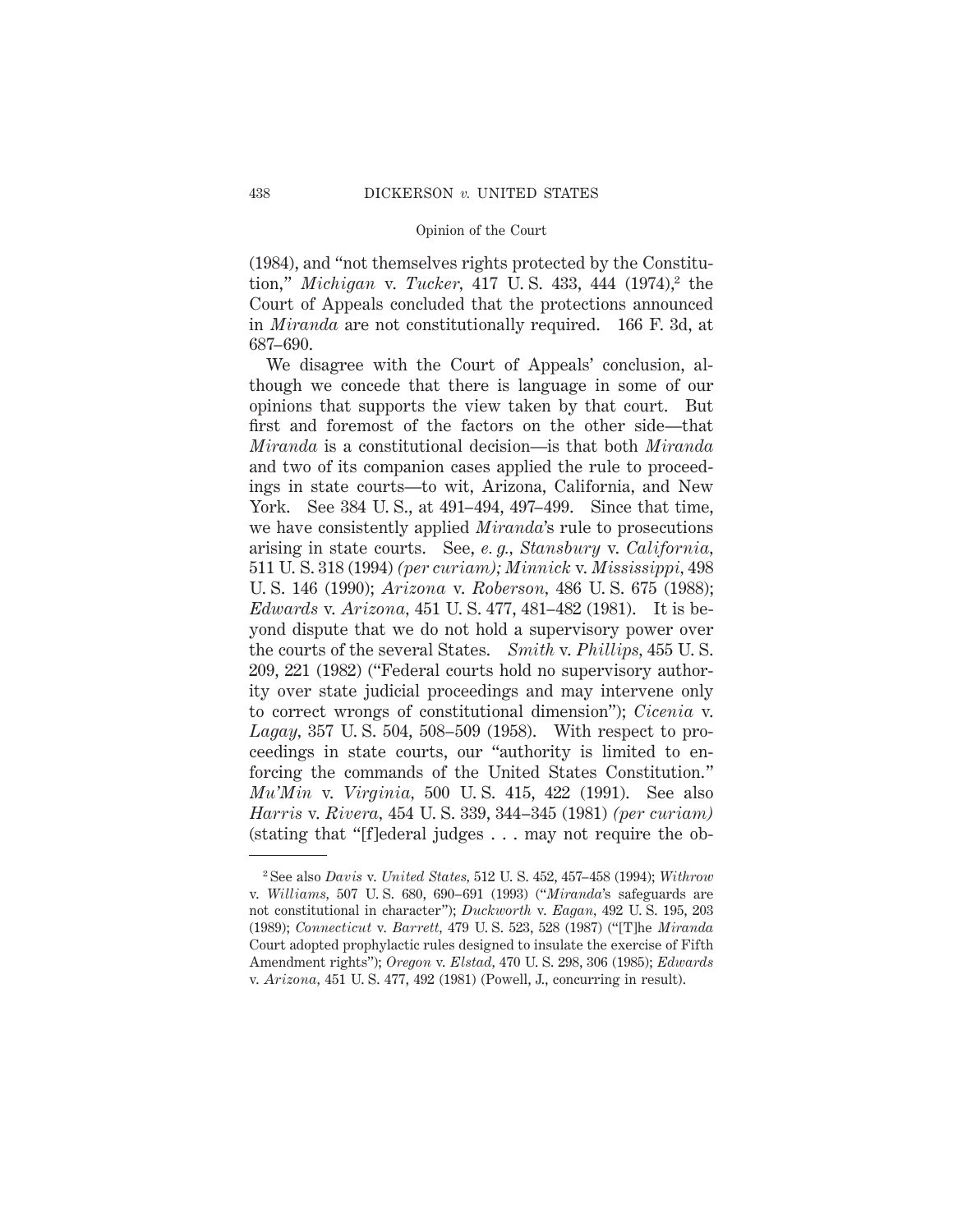(1984), and "not themselves rights protected by the Constitution," *Michigan* v. *Tucker*, 417 U.S. 433, 444 (1974),<sup>2</sup> the Court of Appeals concluded that the protections announced in *Miranda* are not constitutionally required. 166 F. 3d, at 687–690.

We disagree with the Court of Appeals' conclusion, although we concede that there is language in some of our opinions that supports the view taken by that court. But first and foremost of the factors on the other side—that *Miranda* is a constitutional decision—is that both *Miranda* and two of its companion cases applied the rule to proceedings in state courts—to wit, Arizona, California, and New York. See 384 U.S., at 491–494, 497–499. Since that time, we have consistently applied *Miranda*'s rule to prosecutions arising in state courts. See, *e. g., Stansbury* v. *California,* 511 U. S. 318 (1994) *(per curiam); Minnick* v. *Mississippi,* 498 U. S. 146 (1990); *Arizona* v. *Roberson,* 486 U. S. 675 (1988); *Edwards* v. *Arizona,* 451 U. S. 477, 481–482 (1981). It is beyond dispute that we do not hold a supervisory power over the courts of the several States. *Smith* v. *Phillips,* 455 U. S. 209, 221 (1982) ("Federal courts hold no supervisory authority over state judicial proceedings and may intervene only to correct wrongs of constitutional dimension"); *Cicenia* v. *Lagay,* 357 U. S. 504, 508–509 (1958). With respect to proceedings in state courts, our "authority is limited to enforcing the commands of the United States Constitution." *Mu'Min* v. *Virginia,* 500 U. S. 415, 422 (1991). See also *Harris* v. *Rivera,* 454 U. S. 339, 344–345 (1981) *(per curiam)* (stating that "[f]ederal judges . . . may not require the ob-

<sup>2</sup> See also *Davis* v. *United States,* 512 U. S. 452, 457–458 (1994); *Withrow* v. *Williams,* 507 U. S. 680, 690–691 (1993) ("*Miranda*'s safeguards are not constitutional in character"); *Duckworth* v. *Eagan,* 492 U. S. 195, 203 (1989); *Connecticut* v. *Barrett,* 479 U. S. 523, 528 (1987) ("[T]he *Miranda* Court adopted prophylactic rules designed to insulate the exercise of Fifth Amendment rights"); *Oregon* v. *Elstad,* 470 U. S. 298, 306 (1985); *Edwards* v. *Arizona,* 451 U. S. 477, 492 (1981) (Powell, J., concurring in result).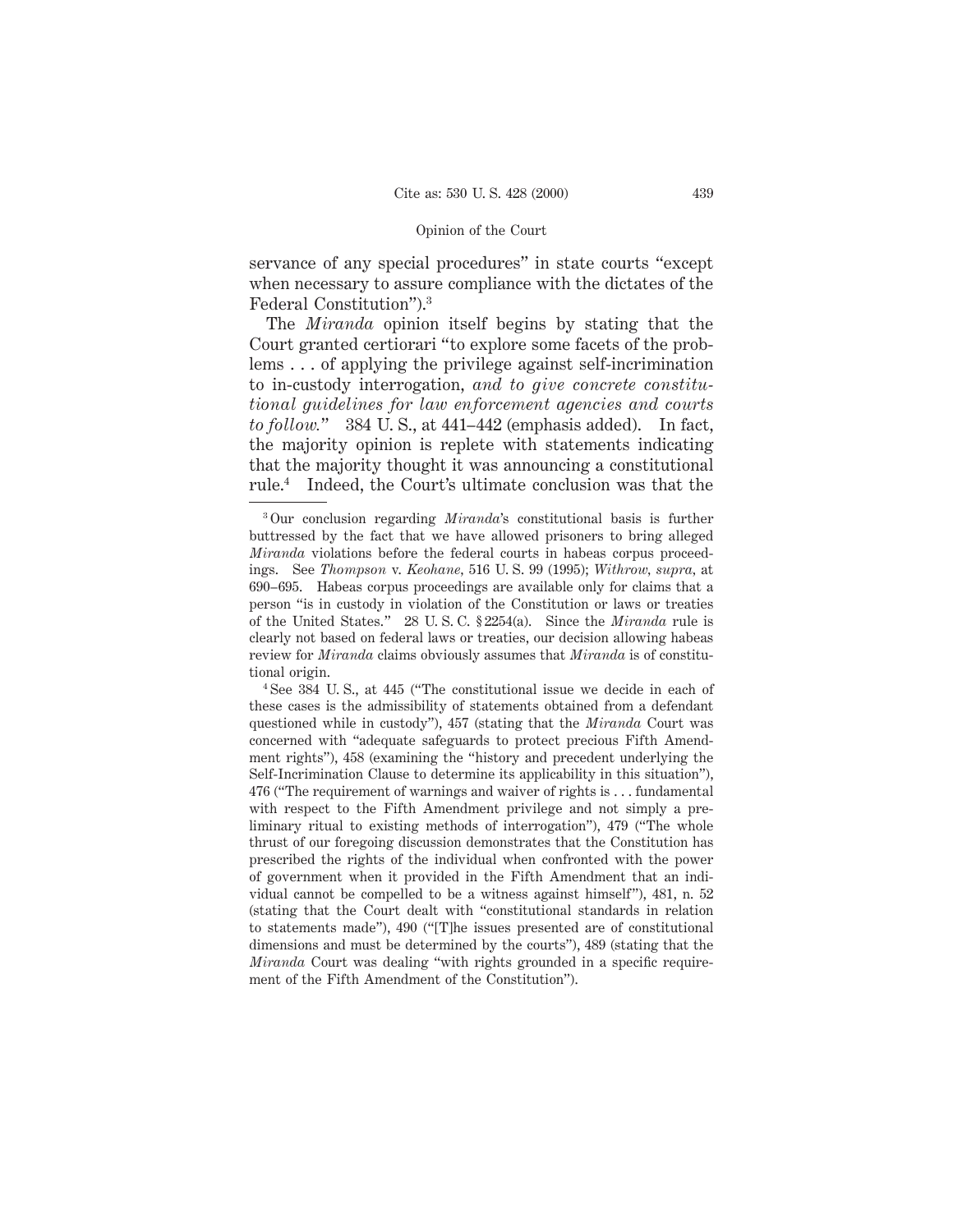servance of any special procedures" in state courts "except when necessary to assure compliance with the dictates of the Federal Constitution").3

The *Miranda* opinion itself begins by stating that the Court granted certiorari "to explore some facets of the problems . . . of applying the privilege against self-incrimination to in-custody interrogation, *and to give concrete constitutional guidelines for law enforcement agencies and courts to follow.*" 384 U. S., at 441–442 (emphasis added). In fact, the majority opinion is replete with statements indicating that the majority thought it was announcing a constitutional rule.4 Indeed, the Court's ultimate conclusion was that the

<sup>3</sup> Our conclusion regarding *Miranda*'s constitutional basis is further buttressed by the fact that we have allowed prisoners to bring alleged *Miranda* violations before the federal courts in habeas corpus proceedings. See *Thompson* v. *Keohane,* 516 U. S. 99 (1995); *Withrow, supra,* at 690–695. Habeas corpus proceedings are available only for claims that a person "is in custody in violation of the Constitution or laws or treaties of the United States." 28 U. S. C. § 2254(a). Since the *Miranda* rule is clearly not based on federal laws or treaties, our decision allowing habeas review for *Miranda* claims obviously assumes that *Miranda* is of constitutional origin.

<sup>4</sup> See 384 U. S., at 445 ("The constitutional issue we decide in each of these cases is the admissibility of statements obtained from a defendant questioned while in custody"), 457 (stating that the *Miranda* Court was concerned with "adequate safeguards to protect precious Fifth Amendment rights"), 458 (examining the "history and precedent underlying the Self-Incrimination Clause to determine its applicability in this situation"), 476 ("The requirement of warnings and waiver of rights is... fundamental with respect to the Fifth Amendment privilege and not simply a preliminary ritual to existing methods of interrogation"), 479 ("The whole thrust of our foregoing discussion demonstrates that the Constitution has prescribed the rights of the individual when confronted with the power of government when it provided in the Fifth Amendment that an individual cannot be compelled to be a witness against himself"), 481, n. 52 (stating that the Court dealt with "constitutional standards in relation to statements made"), 490 ("[T]he issues presented are of constitutional dimensions and must be determined by the courts"), 489 (stating that the *Miranda* Court was dealing "with rights grounded in a specific requirement of the Fifth Amendment of the Constitution").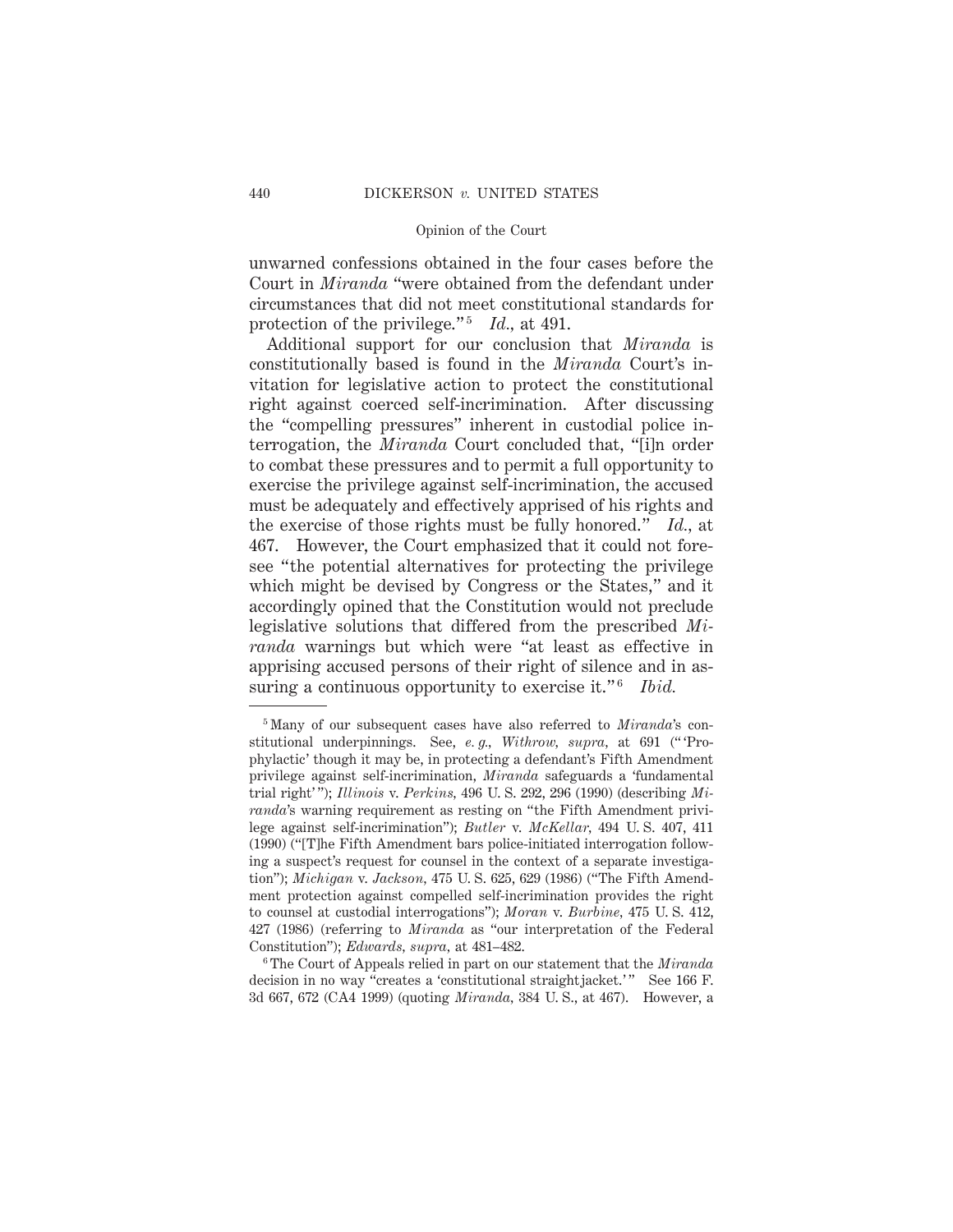unwarned confessions obtained in the four cases before the Court in *Miranda* "were obtained from the defendant under circumstances that did not meet constitutional standards for protection of the privilege."<sup>5</sup> *Id.*, at 491.

Additional support for our conclusion that *Miranda* is constitutionally based is found in the *Miranda* Court's invitation for legislative action to protect the constitutional right against coerced self-incrimination. After discussing the "compelling pressures" inherent in custodial police interrogation, the *Miranda* Court concluded that, "[i]n order to combat these pressures and to permit a full opportunity to exercise the privilege against self-incrimination, the accused must be adequately and effectively apprised of his rights and the exercise of those rights must be fully honored." *Id.,* at 467. However, the Court emphasized that it could not foresee "the potential alternatives for protecting the privilege which might be devised by Congress or the States," and it accordingly opined that the Constitution would not preclude legislative solutions that differed from the prescribed *Miranda* warnings but which were "at least as effective in apprising accused persons of their right of silence and in assuring a continuous opportunity to exercise it."<sup>6</sup> *Ibid.* 

<sup>5</sup> Many of our subsequent cases have also referred to *Miranda*'s constitutional underpinnings. See, *e. g., Withrow, supra,* at 691 (" 'Prophylactic' though it may be, in protecting a defendant's Fifth Amendment privilege against self-incrimination, *Miranda* safeguards a 'fundamental trial right' "); *Illinois* v. *Perkins,* 496 U. S. 292, 296 (1990) (describing *Miranda*'s warning requirement as resting on "the Fifth Amendment privilege against self-incrimination"); *Butler* v. *McKellar,* 494 U. S. 407, 411 (1990) ("[T]he Fifth Amendment bars police-initiated interrogation following a suspect's request for counsel in the context of a separate investigation"); *Michigan* v. *Jackson,* 475 U. S. 625, 629 (1986) ("The Fifth Amendment protection against compelled self-incrimination provides the right to counsel at custodial interrogations"); *Moran* v. *Burbine,* 475 U. S. 412, 427 (1986) (referring to *Miranda* as "our interpretation of the Federal Constitution"); *Edwards, supra,* at 481–482.

<sup>6</sup> The Court of Appeals relied in part on our statement that the *Miranda* decision in no way "creates a 'constitutional straight jacket.'" See 166 F. 3d 667, 672 (CA4 1999) (quoting *Miranda,* 384 U. S., at 467). However, a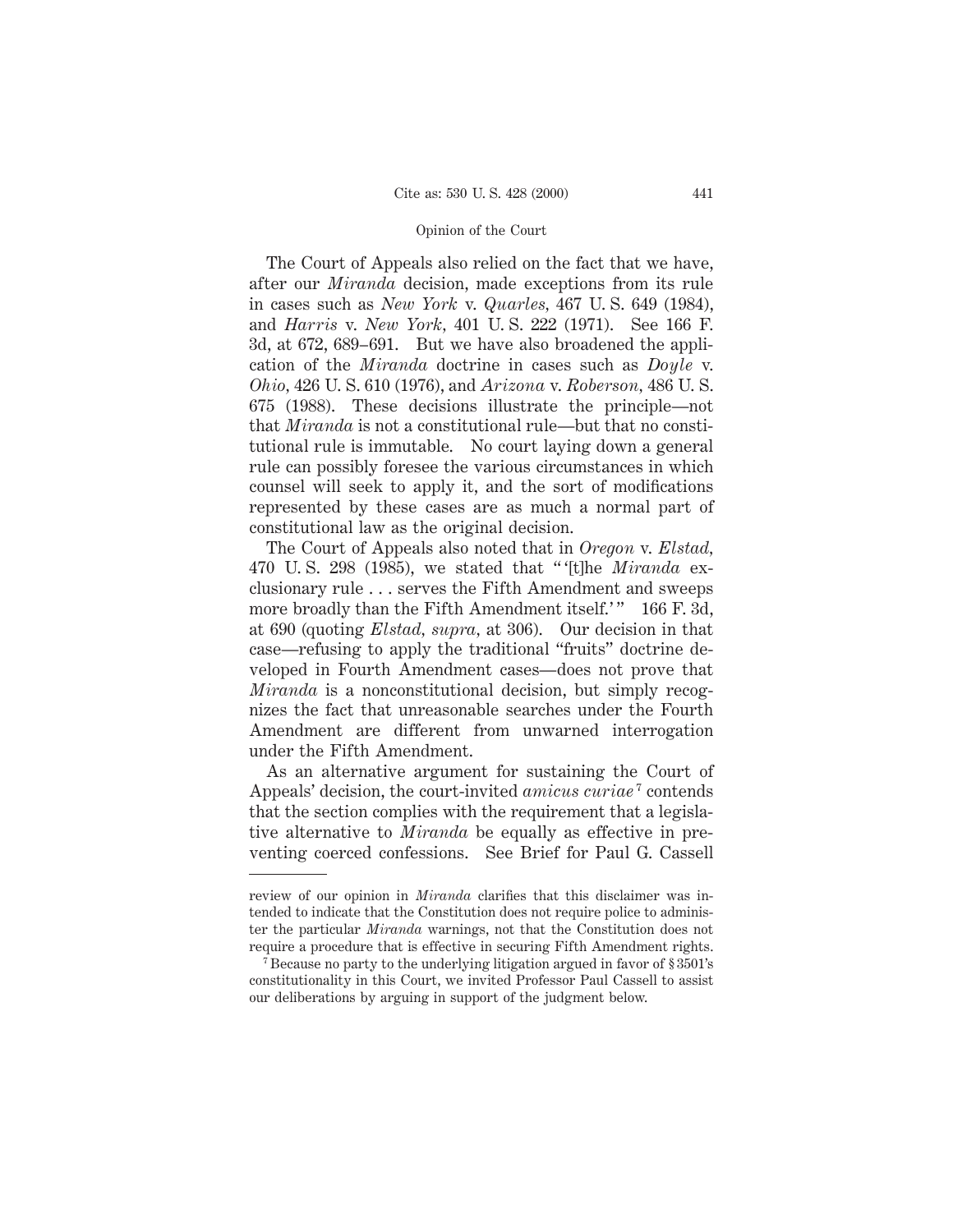The Court of Appeals also relied on the fact that we have, after our *Miranda* decision, made exceptions from its rule in cases such as *New York* v. *Quarles,* 467 U. S. 649 (1984), and *Harris* v. *New York,* 401 U. S. 222 (1971). See 166 F. 3d, at 672, 689–691. But we have also broadened the application of the *Miranda* doctrine in cases such as *Doyle* v. *Ohio,* 426 U. S. 610 (1976), and *Arizona* v. *Roberson,* 486 U. S. 675 (1988). These decisions illustrate the principle—not that *Miranda* is not a constitutional rule—but that no constitutional rule is immutable. No court laying down a general rule can possibly foresee the various circumstances in which counsel will seek to apply it, and the sort of modifications represented by these cases are as much a normal part of constitutional law as the original decision.

The Court of Appeals also noted that in *Oregon* v. *Elstad,* 470 U. S. 298 (1985), we stated that " '[t]he *Miranda* exclusionary rule... serves the Fifth Amendment and sweeps more broadly than the Fifth Amendment itself.'" 166 F. 3d, at 690 (quoting *Elstad, supra,* at 306). Our decision in that case—refusing to apply the traditional "fruits" doctrine developed in Fourth Amendment cases—does not prove that *Miranda* is a nonconstitutional decision, but simply recognizes the fact that unreasonable searches under the Fourth Amendment are different from unwarned interrogation under the Fifth Amendment.

As an alternative argument for sustaining the Court of Appeals' decision, the court-invited *amicus curiae* <sup>7</sup> contends that the section complies with the requirement that a legislative alternative to *Miranda* be equally as effective in preventing coerced confessions. See Brief for Paul G. Cassell

review of our opinion in *Miranda* clarifies that this disclaimer was intended to indicate that the Constitution does not require police to administer the particular *Miranda* warnings, not that the Constitution does not require a procedure that is effective in securing Fifth Amendment rights.

<sup>7</sup> Because no party to the underlying litigation argued in favor of § 3501's constitutionality in this Court, we invited Professor Paul Cassell to assist our deliberations by arguing in support of the judgment below.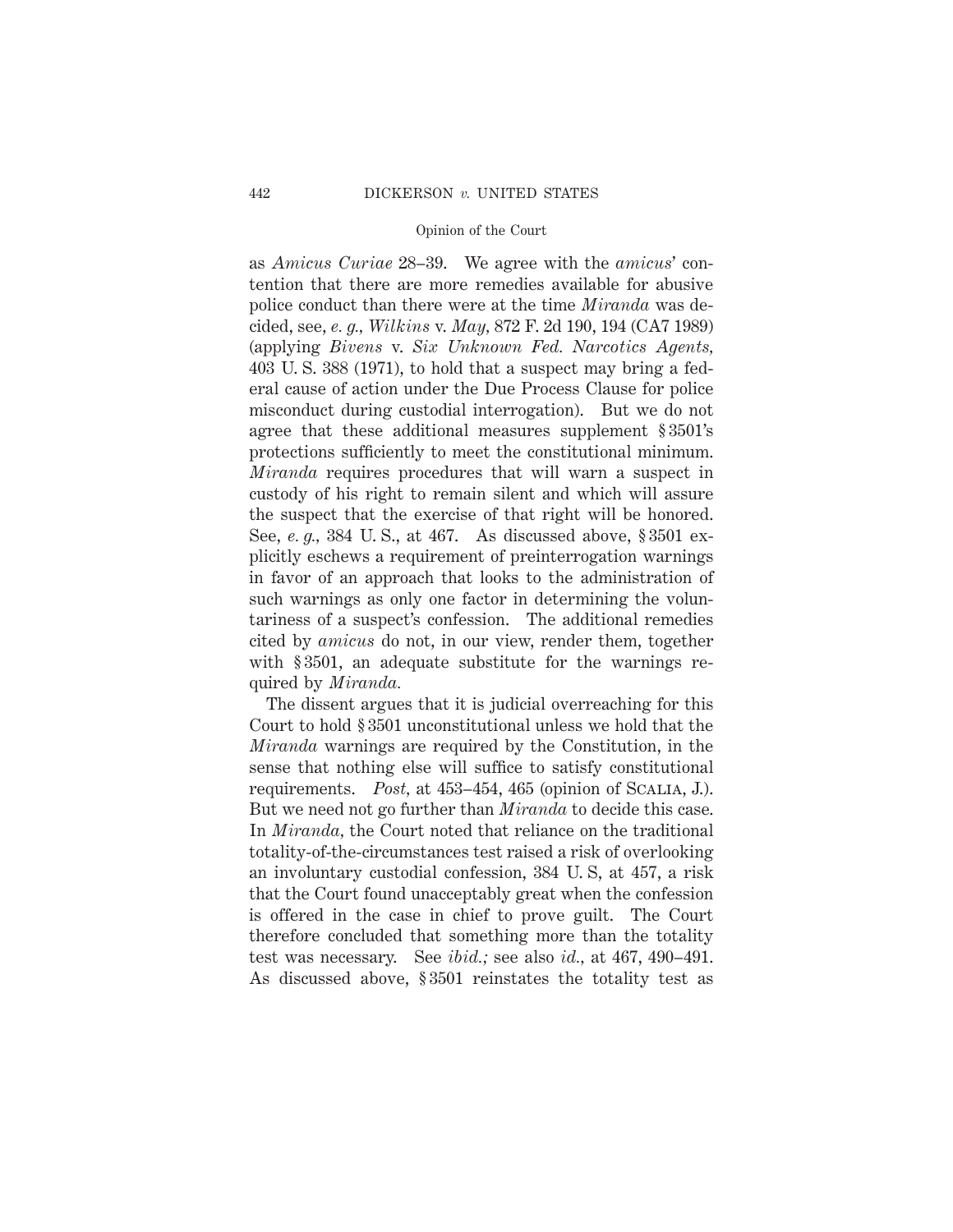as *Amicus Curiae* 28–39. We agree with the *amicus*' contention that there are more remedies available for abusive police conduct than there were at the time *Miranda* was decided, see, *e. g., Wilkins* v. *May,* 872 F. 2d 190, 194 (CA7 1989) (applying *Bivens* v. *Six Unknown Fed. Narcotics Agents,* 403 U. S. 388 (1971), to hold that a suspect may bring a federal cause of action under the Due Process Clause for police misconduct during custodial interrogation). But we do not agree that these additional measures supplement § 3501's protections sufficiently to meet the constitutional minimum. *Miranda* requires procedures that will warn a suspect in custody of his right to remain silent and which will assure the suspect that the exercise of that right will be honored. See, *e. g.,* 384 U. S., at 467. As discussed above, § 3501 explicitly eschews a requirement of preinterrogation warnings in favor of an approach that looks to the administration of such warnings as only one factor in determining the voluntariness of a suspect's confession. The additional remedies cited by *amicus* do not, in our view, render them, together with § 3501, an adequate substitute for the warnings required by *Miranda.*

The dissent argues that it is judicial overreaching for this Court to hold § 3501 unconstitutional unless we hold that the *Miranda* warnings are required by the Constitution, in the sense that nothing else will suffice to satisfy constitutional requirements. *Post,* at 453–454, 465 (opinion of Scalia, J.). But we need not go further than *Miranda* to decide this case. In *Miranda,* the Court noted that reliance on the traditional totality-of-the-circumstances test raised a risk of overlooking an involuntary custodial confession, 384 U. S, at 457, a risk that the Court found unacceptably great when the confession is offered in the case in chief to prove guilt. The Court therefore concluded that something more than the totality test was necessary. See *ibid.;* see also *id.,* at 467, 490–491. As discussed above, § 3501 reinstates the totality test as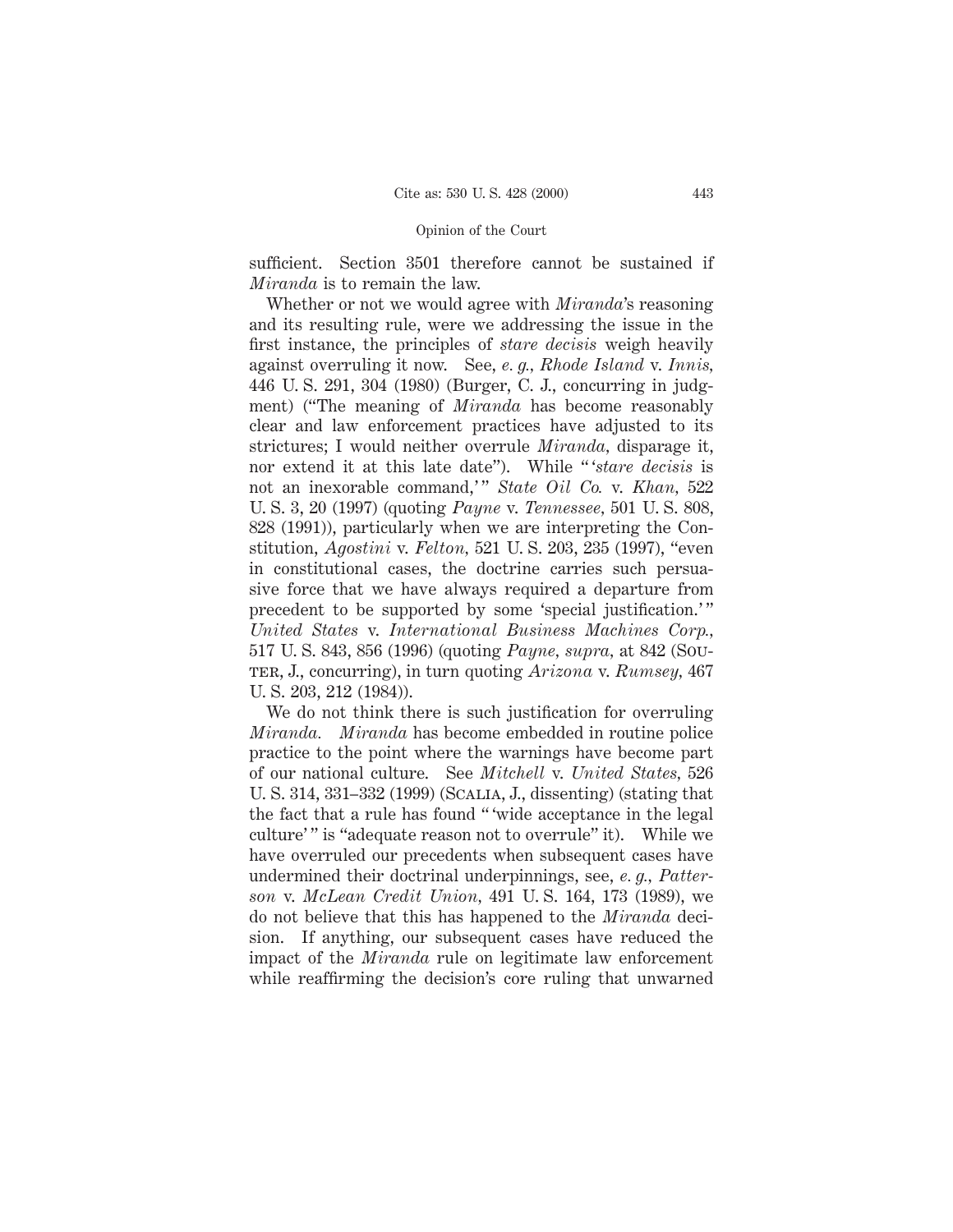sufficient. Section 3501 therefore cannot be sustained if *Miranda* is to remain the law.

Whether or not we would agree with *Miranda*'s reasoning and its resulting rule, were we addressing the issue in the first instance, the principles of *stare decisis* weigh heavily against overruling it now. See, *e. g., Rhode Island* v. *Innis,* 446 U. S. 291, 304 (1980) (Burger, C. J., concurring in judgment) ("The meaning of *Miranda* has become reasonably clear and law enforcement practices have adjusted to its strictures; I would neither overrule *Miranda,* disparage it, nor extend it at this late date"). While " '*stare decisis* is not an inexorable command," *State Oil Co. v. Khan*, 522 U. S. 3, 20 (1997) (quoting *Payne* v. *Tennessee,* 501 U. S. 808, 828 (1991)), particularly when we are interpreting the Constitution, *Agostini* v. *Felton,* 521 U. S. 203, 235 (1997), "even in constitutional cases, the doctrine carries such persuasive force that we have always required a departure from precedent to be supported by some 'special justification.' " *United States* v. *International Business Machines Corp.,* 517 U. S. 843, 856 (1996) (quoting *Payne, supra,* at 842 (Souter, J., concurring), in turn quoting *Arizona* v. *Rumsey,* 467 U. S. 203, 212 (1984)).

We do not think there is such justification for overruling *Miranda. Miranda* has become embedded in routine police practice to the point where the warnings have become part of our national culture. See *Mitchell* v. *United States,* 526 U. S. 314, 331–332 (1999) (Scalia, J., dissenting) (stating that the fact that a rule has found " 'wide acceptance in the legal culture' " is "adequate reason not to overrule" it). While we have overruled our precedents when subsequent cases have undermined their doctrinal underpinnings, see, *e. g., Patterson* v. *McLean Credit Union,* 491 U. S. 164, 173 (1989), we do not believe that this has happened to the *Miranda* decision. If anything, our subsequent cases have reduced the impact of the *Miranda* rule on legitimate law enforcement while reaffirming the decision's core ruling that unwarned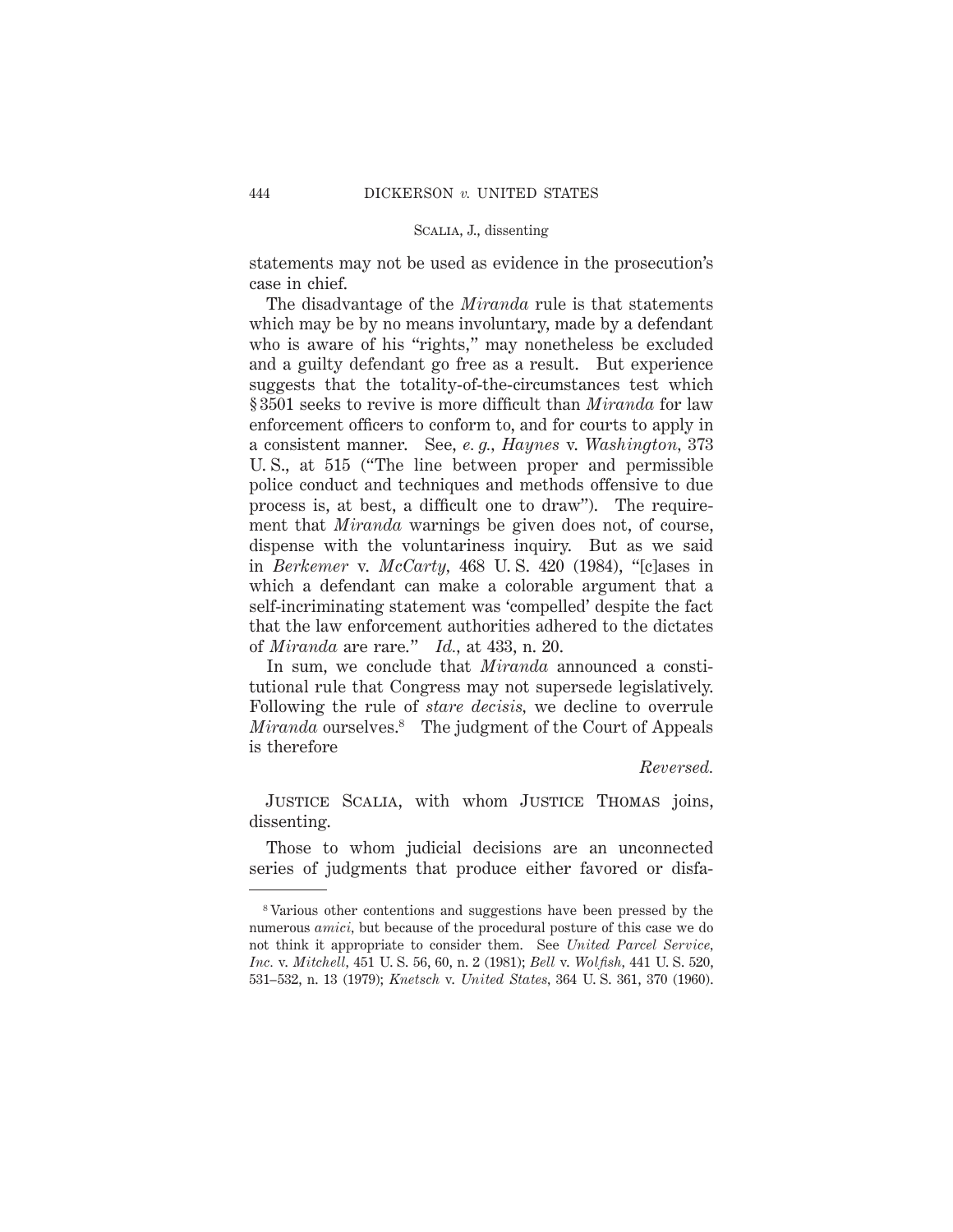statements may not be used as evidence in the prosecution's case in chief.

The disadvantage of the *Miranda* rule is that statements which may be by no means involuntary, made by a defendant who is aware of his "rights," may nonetheless be excluded and a guilty defendant go free as a result. But experience suggests that the totality-of-the-circumstances test which § 3501 seeks to revive is more difficult than *Miranda* for law enforcement officers to conform to, and for courts to apply in a consistent manner. See, *e. g., Haynes* v. *Washington,* 373 U. S., at 515 ("The line between proper and permissible police conduct and techniques and methods offensive to due process is, at best, a difficult one to draw"). The requirement that *Miranda* warnings be given does not, of course, dispense with the voluntariness inquiry. But as we said in *Berkemer* v. *McCarty,* 468 U. S. 420 (1984), "[c]ases in which a defendant can make a colorable argument that a self-incriminating statement was 'compelled' despite the fact that the law enforcement authorities adhered to the dictates of *Miranda* are rare." *Id.,* at 433, n. 20.

In sum, we conclude that *Miranda* announced a constitutional rule that Congress may not supersede legislatively. Following the rule of *stare decisis,* we decline to overrule *Miranda* ourselves.8 The judgment of the Court of Appeals is therefore

#### *Reversed.*

Justice Scalia, with whom Justice Thomas joins, dissenting.

Those to whom judicial decisions are an unconnected series of judgments that produce either favored or disfa-

<sup>8</sup> Various other contentions and suggestions have been pressed by the numerous *amici,* but because of the procedural posture of this case we do not think it appropriate to consider them. See *United Parcel Service, Inc.* v. *Mitchell,* 451 U. S. 56, 60, n. 2 (1981); *Bell* v. *Wolfish,* 441 U. S. 520, 531–532, n. 13 (1979); *Knetsch* v. *United States,* 364 U. S. 361, 370 (1960).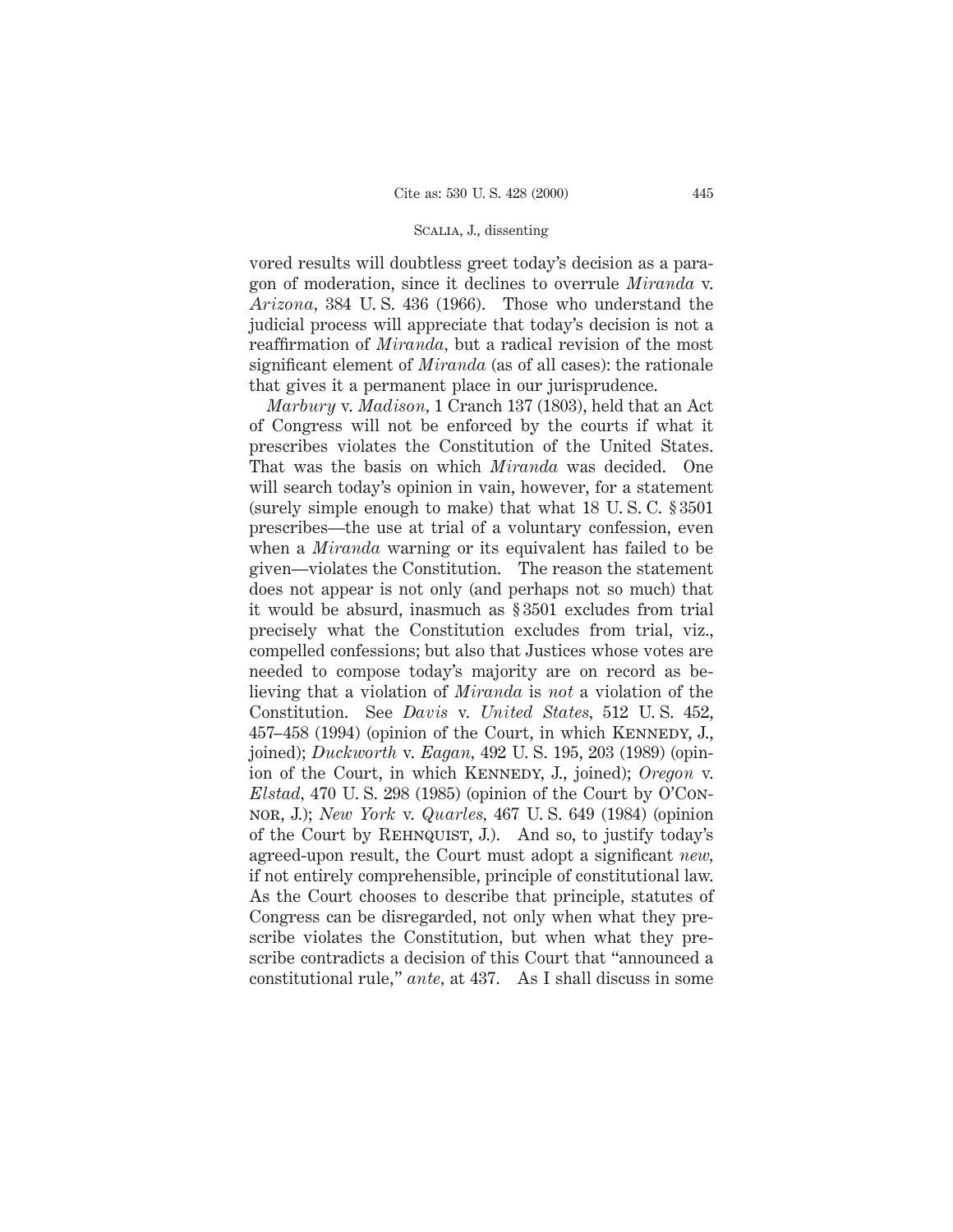vored results will doubtless greet today's decision as a paragon of moderation, since it declines to overrule *Miranda* v. *Arizona,* 384 U. S. 436 (1966). Those who understand the judicial process will appreciate that today's decision is not a reaffirmation of *Miranda,* but a radical revision of the most significant element of *Miranda* (as of all cases): the rationale that gives it a permanent place in our jurisprudence.

*Marbury* v. *Madison,* 1 Cranch 137 (1803), held that an Act of Congress will not be enforced by the courts if what it prescribes violates the Constitution of the United States. That was the basis on which *Miranda* was decided. One will search today's opinion in vain, however, for a statement (surely simple enough to make) that what 18 U. S. C. § 3501 prescribes—the use at trial of a voluntary confession, even when a *Miranda* warning or its equivalent has failed to be given—violates the Constitution. The reason the statement does not appear is not only (and perhaps not so much) that it would be absurd, inasmuch as § 3501 excludes from trial precisely what the Constitution excludes from trial, viz., compelled confessions; but also that Justices whose votes are needed to compose today's majority are on record as believing that a violation of *Miranda* is *not* a violation of the Constitution. See *Davis* v. *United States,* 512 U. S. 452, 457–458 (1994) (opinion of the Court, in which Kennedy, J., joined); *Duckworth* v. *Eagan,* 492 U. S. 195, 203 (1989) (opinion of the Court, in which Kennedy, J., joined); *Oregon* v. *Elstad,* 470 U. S. 298 (1985) (opinion of the Court by O'Connor, J.); *New York* v. *Quarles,* 467 U. S. 649 (1984) (opinion of the Court by Rehnquist, J.). And so, to justify today's agreed-upon result, the Court must adopt a significant *new,* if not entirely comprehensible, principle of constitutional law. As the Court chooses to describe that principle, statutes of Congress can be disregarded, not only when what they prescribe violates the Constitution, but when what they prescribe contradicts a decision of this Court that "announced a constitutional rule," *ante,* at 437. As I shall discuss in some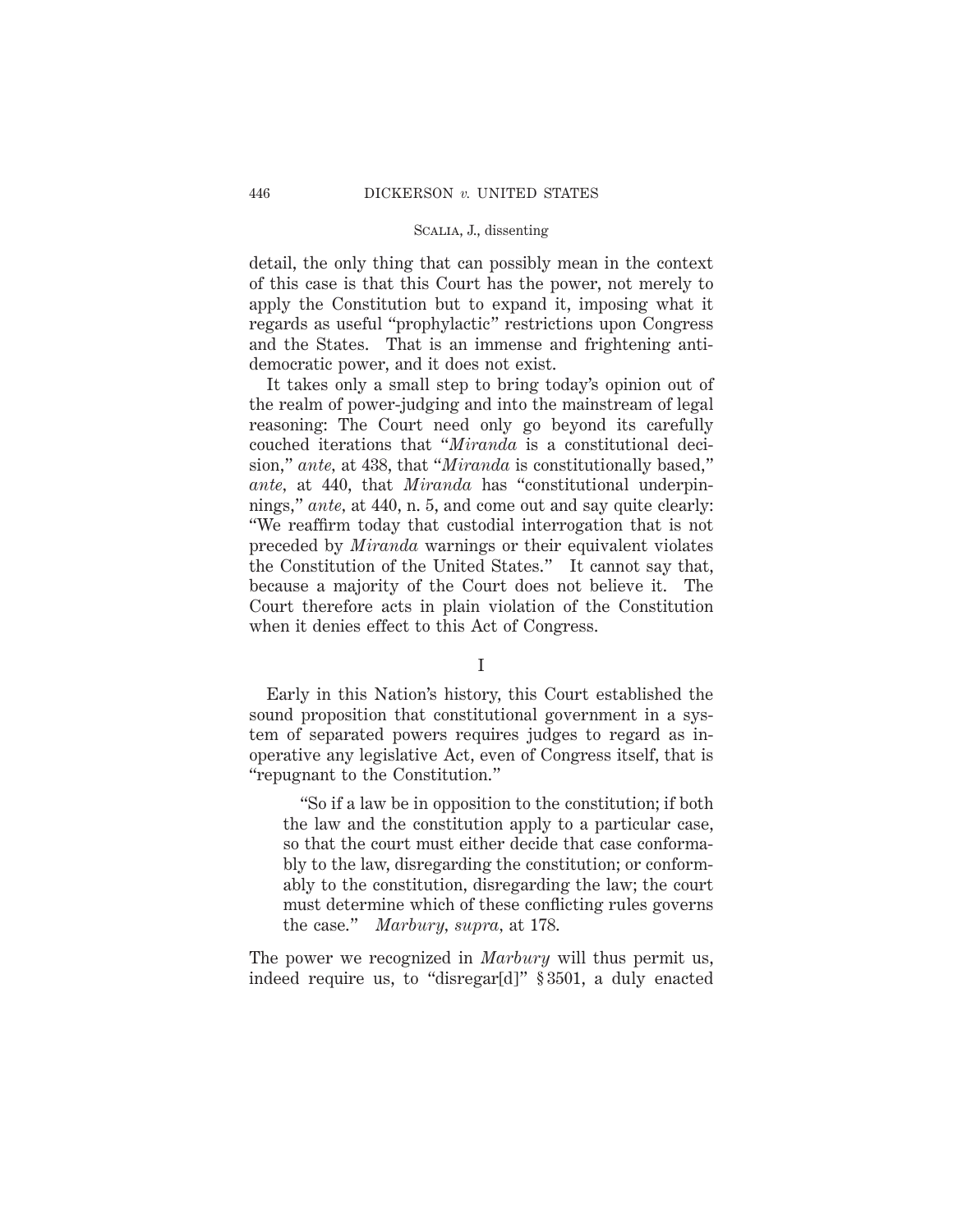detail, the only thing that can possibly mean in the context of this case is that this Court has the power, not merely to apply the Constitution but to expand it, imposing what it regards as useful "prophylactic" restrictions upon Congress and the States. That is an immense and frightening antidemocratic power, and it does not exist.

It takes only a small step to bring today's opinion out of the realm of power-judging and into the mainstream of legal reasoning: The Court need only go beyond its carefully couched iterations that "*Miranda* is a constitutional decision," *ante,* at 438, that "*Miranda* is constitutionally based," *ante,* at 440, that *Miranda* has "constitutional underpinnings," *ante,* at 440, n. 5, and come out and say quite clearly: "We reaffirm today that custodial interrogation that is not preceded by *Miranda* warnings or their equivalent violates the Constitution of the United States." It cannot say that, because a majority of the Court does not believe it. The Court therefore acts in plain violation of the Constitution when it denies effect to this Act of Congress.

I

Early in this Nation's history, this Court established the sound proposition that constitutional government in a system of separated powers requires judges to regard as inoperative any legislative Act, even of Congress itself, that is "repugnant to the Constitution."

"So if a law be in opposition to the constitution; if both the law and the constitution apply to a particular case, so that the court must either decide that case conformably to the law, disregarding the constitution; or conformably to the constitution, disregarding the law; the court must determine which of these conflicting rules governs the case." *Marbury, supra,* at 178.

The power we recognized in *Marbury* will thus permit us, indeed require us, to "disregar[d]" § 3501, a duly enacted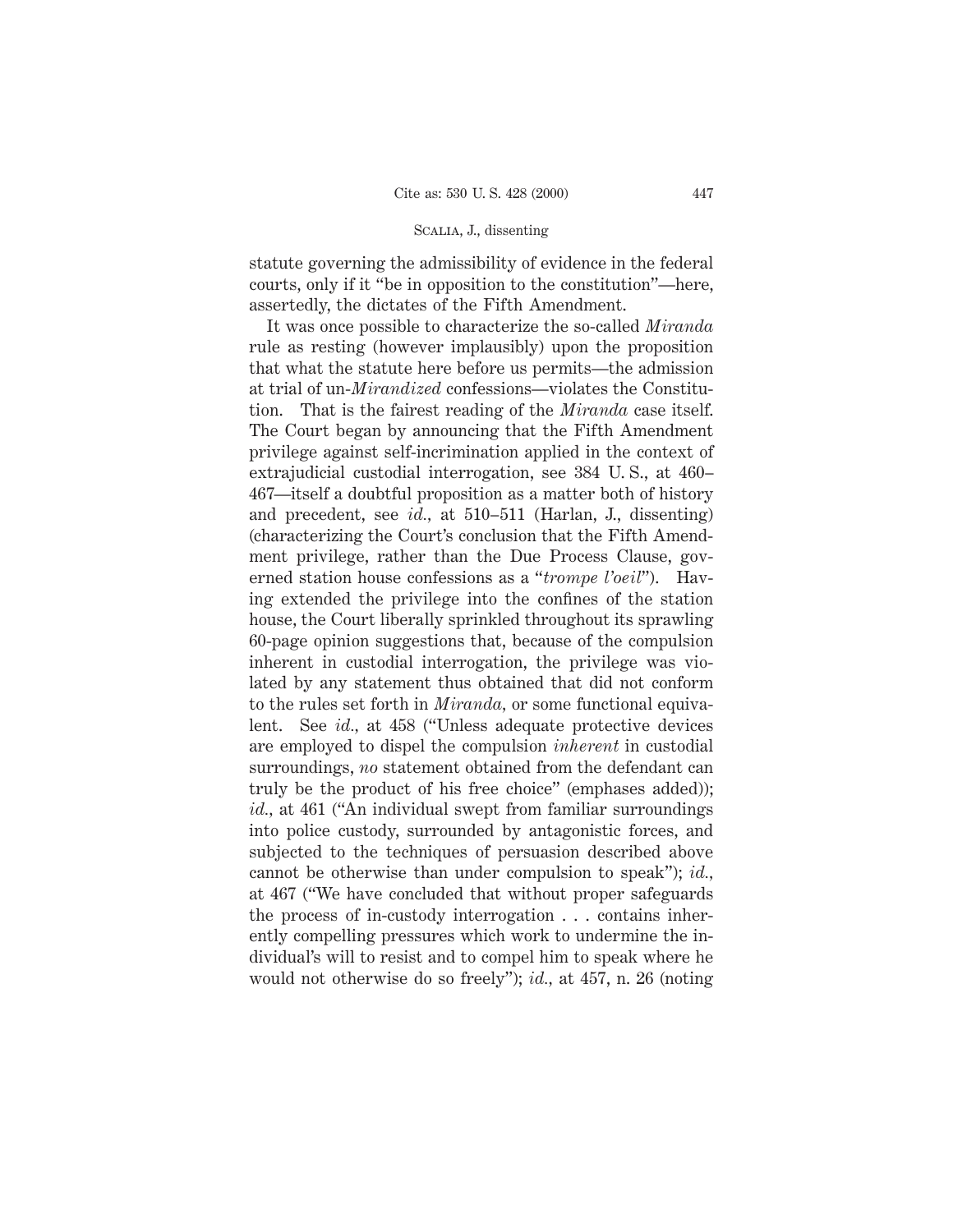statute governing the admissibility of evidence in the federal courts, only if it "be in opposition to the constitution"—here, assertedly, the dictates of the Fifth Amendment.

It was once possible to characterize the so-called *Miranda* rule as resting (however implausibly) upon the proposition that what the statute here before us permits—the admission at trial of un-*Mirandized* confessions—violates the Constitution. That is the fairest reading of the *Miranda* case itself. The Court began by announcing that the Fifth Amendment privilege against self-incrimination applied in the context of extrajudicial custodial interrogation, see 384 U. S., at 460– 467—itself a doubtful proposition as a matter both of history and precedent, see *id.,* at 510–511 (Harlan, J., dissenting) (characterizing the Court's conclusion that the Fifth Amendment privilege, rather than the Due Process Clause, governed station house confessions as a "*trompe l'oeil*"). Having extended the privilege into the confines of the station house, the Court liberally sprinkled throughout its sprawling 60-page opinion suggestions that, because of the compulsion inherent in custodial interrogation, the privilege was violated by any statement thus obtained that did not conform to the rules set forth in *Miranda,* or some functional equivalent. See *id.,* at 458 ("Unless adequate protective devices are employed to dispel the compulsion *inherent* in custodial surroundings, *no* statement obtained from the defendant can truly be the product of his free choice" (emphases added)); *id.,* at 461 ("An individual swept from familiar surroundings into police custody, surrounded by antagonistic forces, and subjected to the techniques of persuasion described above cannot be otherwise than under compulsion to speak"); *id.,* at 467 ("We have concluded that without proper safeguards the process of in-custody interrogation . . . contains inherently compelling pressures which work to undermine the individual's will to resist and to compel him to speak where he would not otherwise do so freely"); *id.,* at 457, n. 26 (noting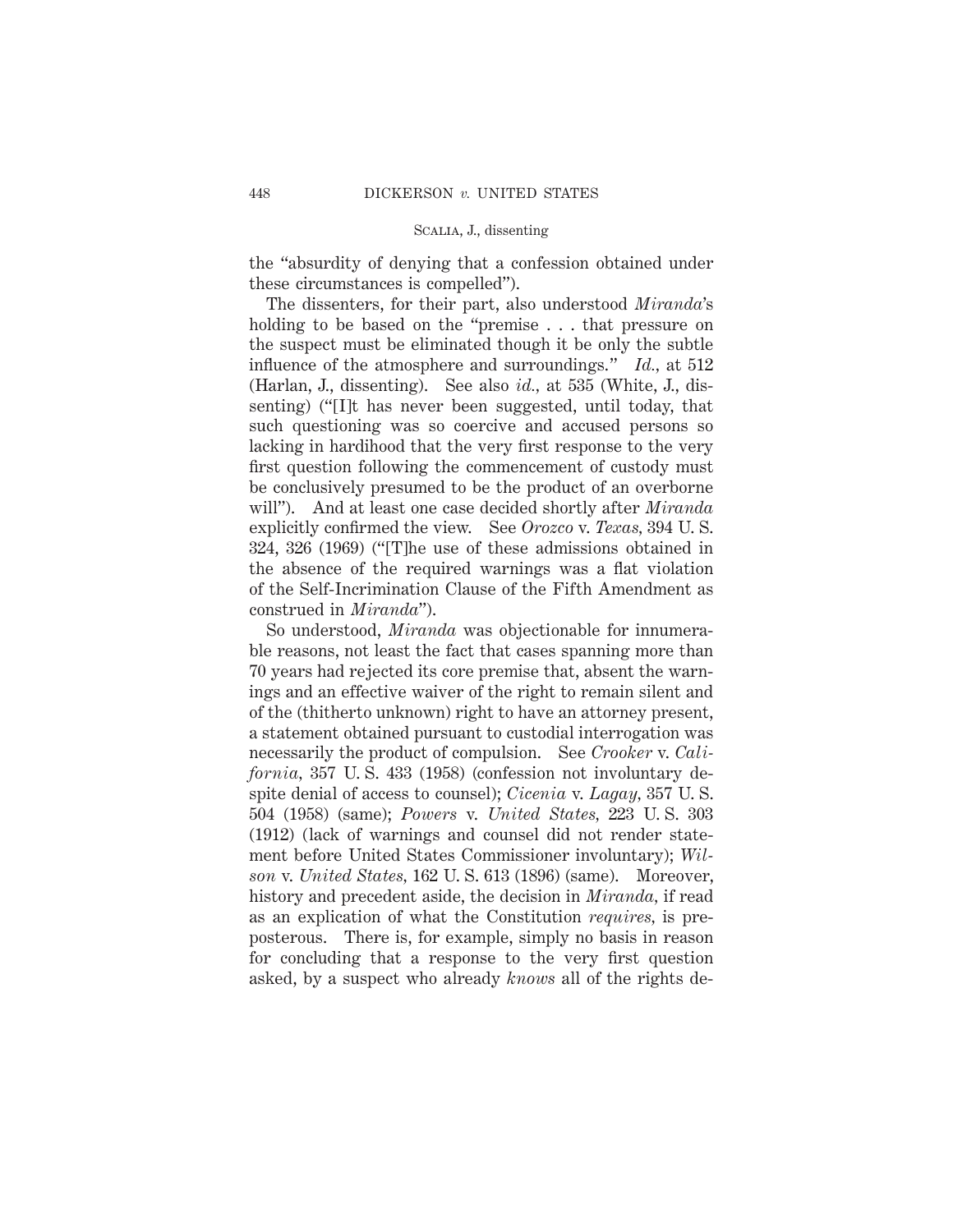the "absurdity of denying that a confession obtained under these circumstances is compelled").

The dissenters, for their part, also understood *Miranda*'s holding to be based on the "premise... that pressure on the suspect must be eliminated though it be only the subtle influence of the atmosphere and surroundings." *Id.,* at 512 (Harlan, J., dissenting). See also *id.,* at 535 (White, J., dissenting) ("[I]t has never been suggested, until today, that such questioning was so coercive and accused persons so lacking in hardihood that the very first response to the very first question following the commencement of custody must be conclusively presumed to be the product of an overborne will"). And at least one case decided shortly after *Miranda* explicitly confirmed the view. See *Orozco* v. *Texas,* 394 U. S. 324, 326 (1969) ("[T]he use of these admissions obtained in the absence of the required warnings was a flat violation of the Self-Incrimination Clause of the Fifth Amendment as construed in *Miranda*").

So understood, *Miranda* was objectionable for innumerable reasons, not least the fact that cases spanning more than 70 years had rejected its core premise that, absent the warnings and an effective waiver of the right to remain silent and of the (thitherto unknown) right to have an attorney present, a statement obtained pursuant to custodial interrogation was necessarily the product of compulsion. See *Crooker* v. *California,* 357 U. S. 433 (1958) (confession not involuntary despite denial of access to counsel); *Cicenia* v. *Lagay,* 357 U. S. 504 (1958) (same); *Powers* v. *United States,* 223 U. S. 303 (1912) (lack of warnings and counsel did not render statement before United States Commissioner involuntary); *Wilson* v. *United States,* 162 U. S. 613 (1896) (same). Moreover, history and precedent aside, the decision in *Miranda,* if read as an explication of what the Constitution *requires,* is preposterous. There is, for example, simply no basis in reason for concluding that a response to the very first question asked, by a suspect who already *knows* all of the rights de-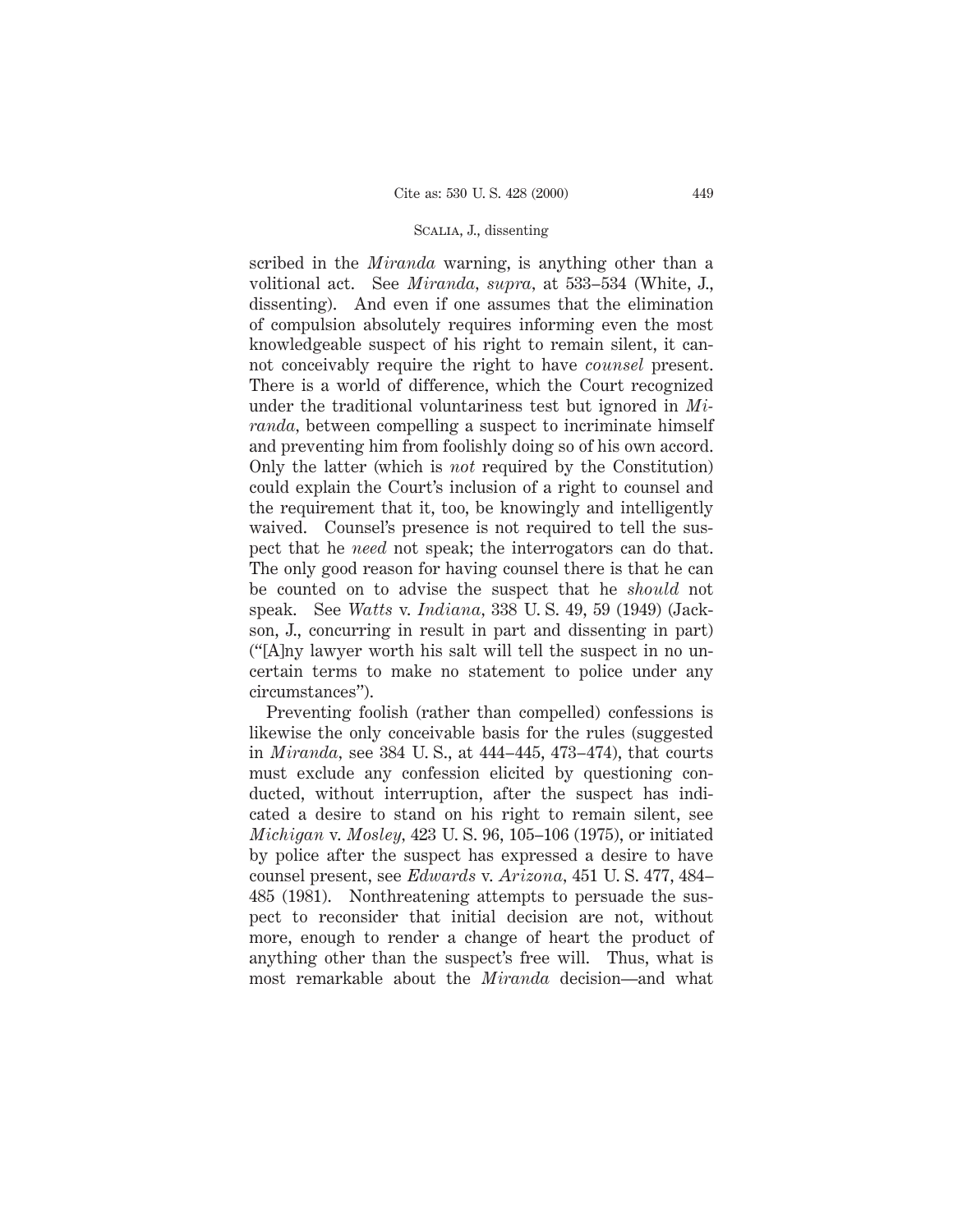scribed in the *Miranda* warning, is anything other than a volitional act. See *Miranda, supra,* at 533–534 (White, J., dissenting). And even if one assumes that the elimination of compulsion absolutely requires informing even the most knowledgeable suspect of his right to remain silent, it cannot conceivably require the right to have *counsel* present. There is a world of difference, which the Court recognized under the traditional voluntariness test but ignored in *Miranda,* between compelling a suspect to incriminate himself and preventing him from foolishly doing so of his own accord. Only the latter (which is *not* required by the Constitution) could explain the Court's inclusion of a right to counsel and the requirement that it, too, be knowingly and intelligently waived. Counsel's presence is not required to tell the suspect that he *need* not speak; the interrogators can do that. The only good reason for having counsel there is that he can be counted on to advise the suspect that he *should* not speak. See *Watts* v. *Indiana,* 338 U. S. 49, 59 (1949) (Jackson, J., concurring in result in part and dissenting in part) ("[A]ny lawyer worth his salt will tell the suspect in no uncertain terms to make no statement to police under any circumstances").

Preventing foolish (rather than compelled) confessions is likewise the only conceivable basis for the rules (suggested in *Miranda,* see 384 U. S., at 444–445, 473–474), that courts must exclude any confession elicited by questioning conducted, without interruption, after the suspect has indicated a desire to stand on his right to remain silent, see *Michigan* v. *Mosley,* 423 U. S. 96, 105–106 (1975), or initiated by police after the suspect has expressed a desire to have counsel present, see *Edwards* v. *Arizona,* 451 U. S. 477, 484– 485 (1981). Nonthreatening attempts to persuade the suspect to reconsider that initial decision are not, without more, enough to render a change of heart the product of anything other than the suspect's free will. Thus, what is most remarkable about the *Miranda* decision—and what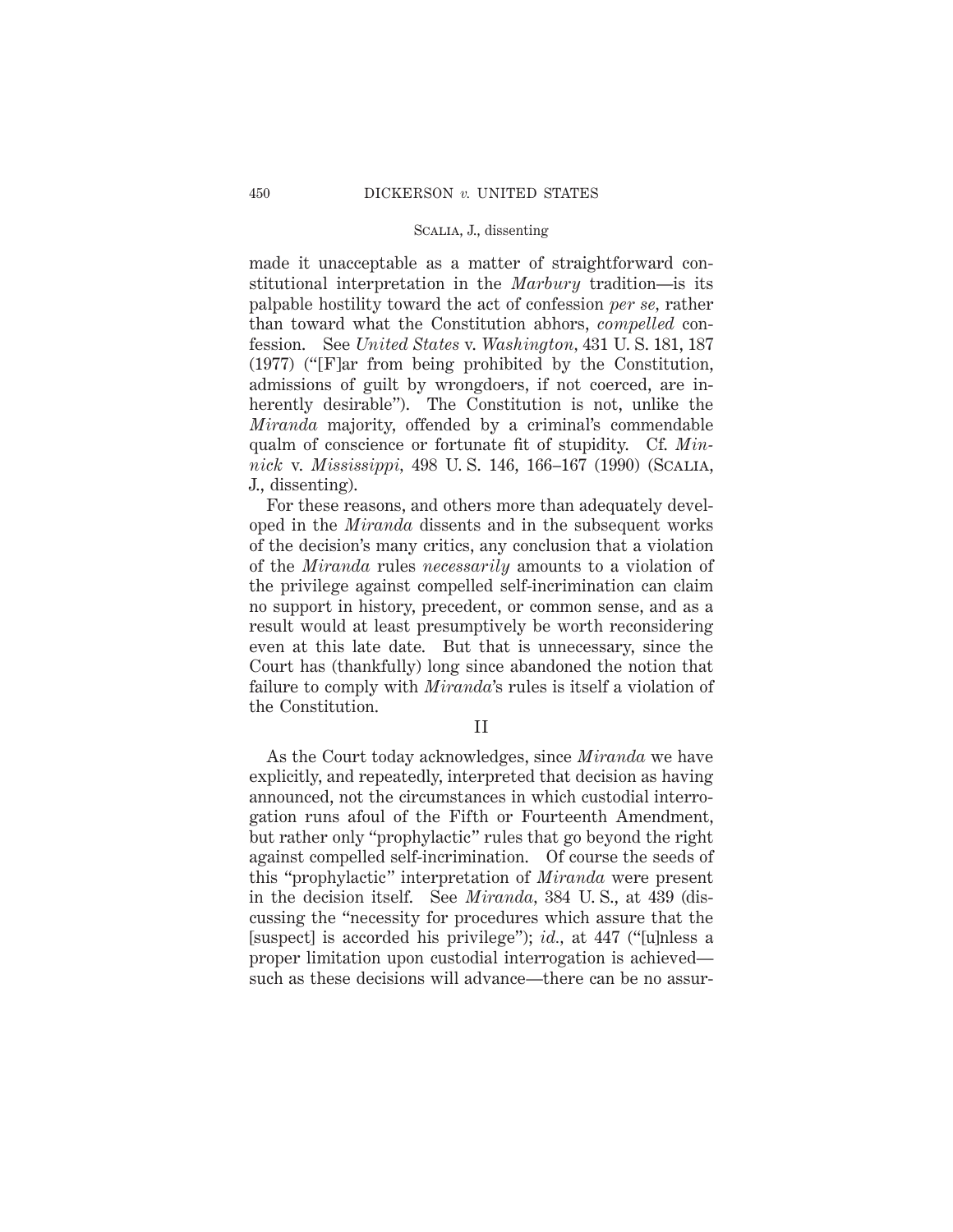made it unacceptable as a matter of straightforward constitutional interpretation in the *Marbury* tradition—is its palpable hostility toward the act of confession *per se,* rather than toward what the Constitution abhors, *compelled* confession. See *United States* v. *Washington,* 431 U. S. 181, 187 (1977) ("[F]ar from being prohibited by the Constitution, admissions of guilt by wrongdoers, if not coerced, are inherently desirable"). The Constitution is not, unlike the *Miranda* majority, offended by a criminal's commendable qualm of conscience or fortunate fit of stupidity. Cf. *Minnick* v. *Mississippi,* 498 U. S. 146, 166–167 (1990) (Scalia, J., dissenting).

For these reasons, and others more than adequately developed in the *Miranda* dissents and in the subsequent works of the decision's many critics, any conclusion that a violation of the *Miranda* rules *necessarily* amounts to a violation of the privilege against compelled self-incrimination can claim no support in history, precedent, or common sense, and as a result would at least presumptively be worth reconsidering even at this late date. But that is unnecessary, since the Court has (thankfully) long since abandoned the notion that failure to comply with *Miranda*'s rules is itself a violation of the Constitution.

II

As the Court today acknowledges, since *Miranda* we have explicitly, and repeatedly, interpreted that decision as having announced, not the circumstances in which custodial interrogation runs afoul of the Fifth or Fourteenth Amendment, but rather only "prophylactic" rules that go beyond the right against compelled self-incrimination. Of course the seeds of this "prophylactic" interpretation of *Miranda* were present in the decision itself. See *Miranda,* 384 U. S., at 439 (discussing the "necessity for procedures which assure that the [suspect] is accorded his privilege"); *id.,* at 447 ("[u]nless a proper limitation upon custodial interrogation is achieved such as these decisions will advance—there can be no assur-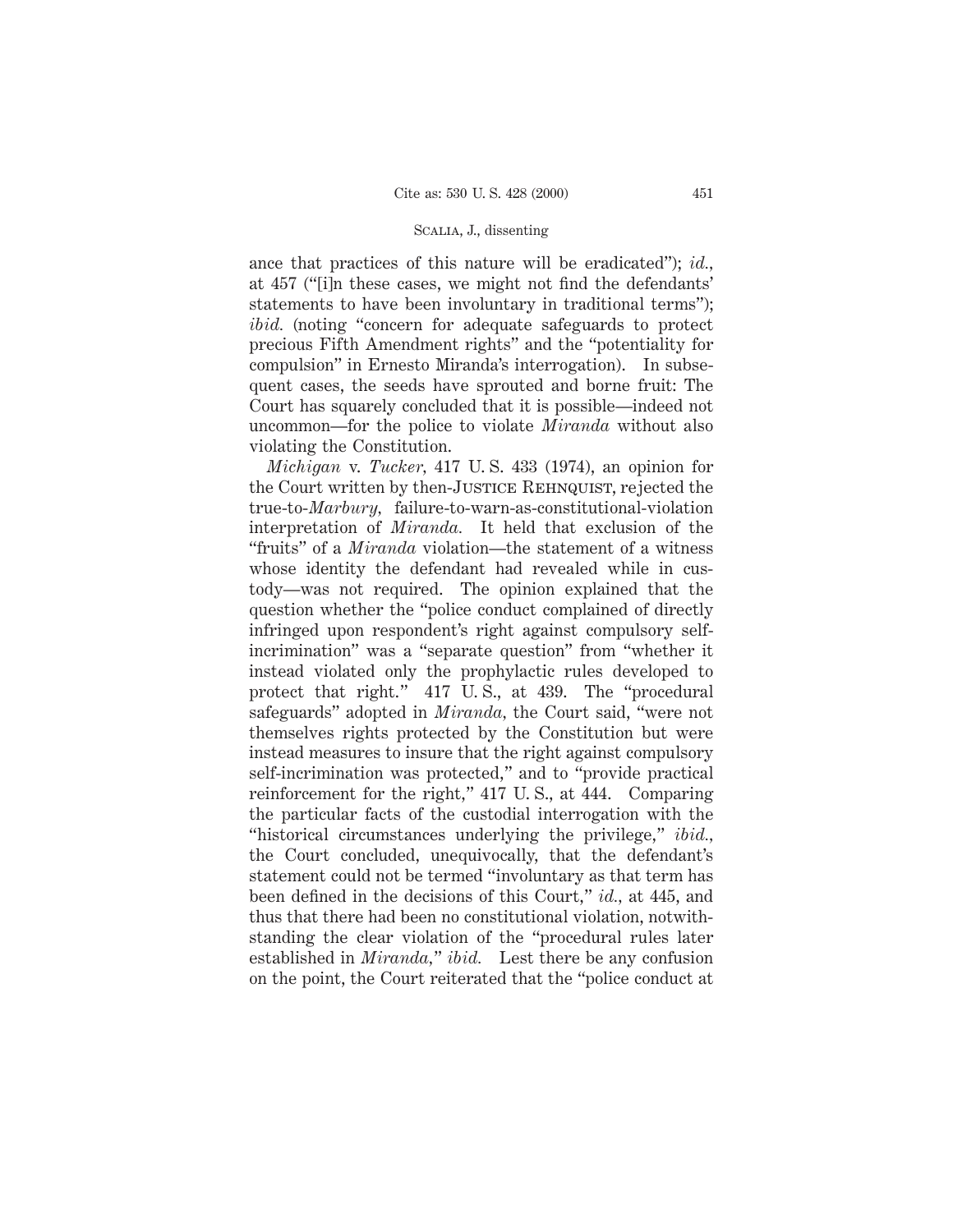ance that practices of this nature will be eradicated"); *id.,* at 457 ("[i]n these cases, we might not find the defendants' statements to have been involuntary in traditional terms"); *ibid.* (noting "concern for adequate safeguards to protect precious Fifth Amendment rights" and the "potentiality for compulsion" in Ernesto Miranda's interrogation). In subsequent cases, the seeds have sprouted and borne fruit: The Court has squarely concluded that it is possible—indeed not uncommon—for the police to violate *Miranda* without also violating the Constitution.

*Michigan* v. *Tucker,* 417 U. S. 433 (1974), an opinion for the Court written by then-JUSTICE REHNQUIST, rejected the true-to-*Marbury,* failure-to-warn-as-constitutional-violation interpretation of *Miranda.* It held that exclusion of the "fruits" of a *Miranda* violation—the statement of a witness whose identity the defendant had revealed while in custody—was not required. The opinion explained that the question whether the "police conduct complained of directly infringed upon respondent's right against compulsory selfincrimination" was a "separate question" from "whether it instead violated only the prophylactic rules developed to protect that right." 417 U. S., at 439. The "procedural safeguards" adopted in *Miranda,* the Court said, "were not themselves rights protected by the Constitution but were instead measures to insure that the right against compulsory self-incrimination was protected," and to "provide practical reinforcement for the right," 417 U. S., at 444. Comparing the particular facts of the custodial interrogation with the "historical circumstances underlying the privilege," *ibid.,* the Court concluded, unequivocally, that the defendant's statement could not be termed "involuntary as that term has been defined in the decisions of this Court," *id.,* at 445, and thus that there had been no constitutional violation, notwithstanding the clear violation of the "procedural rules later established in *Miranda,*" *ibid.* Lest there be any confusion on the point, the Court reiterated that the "police conduct at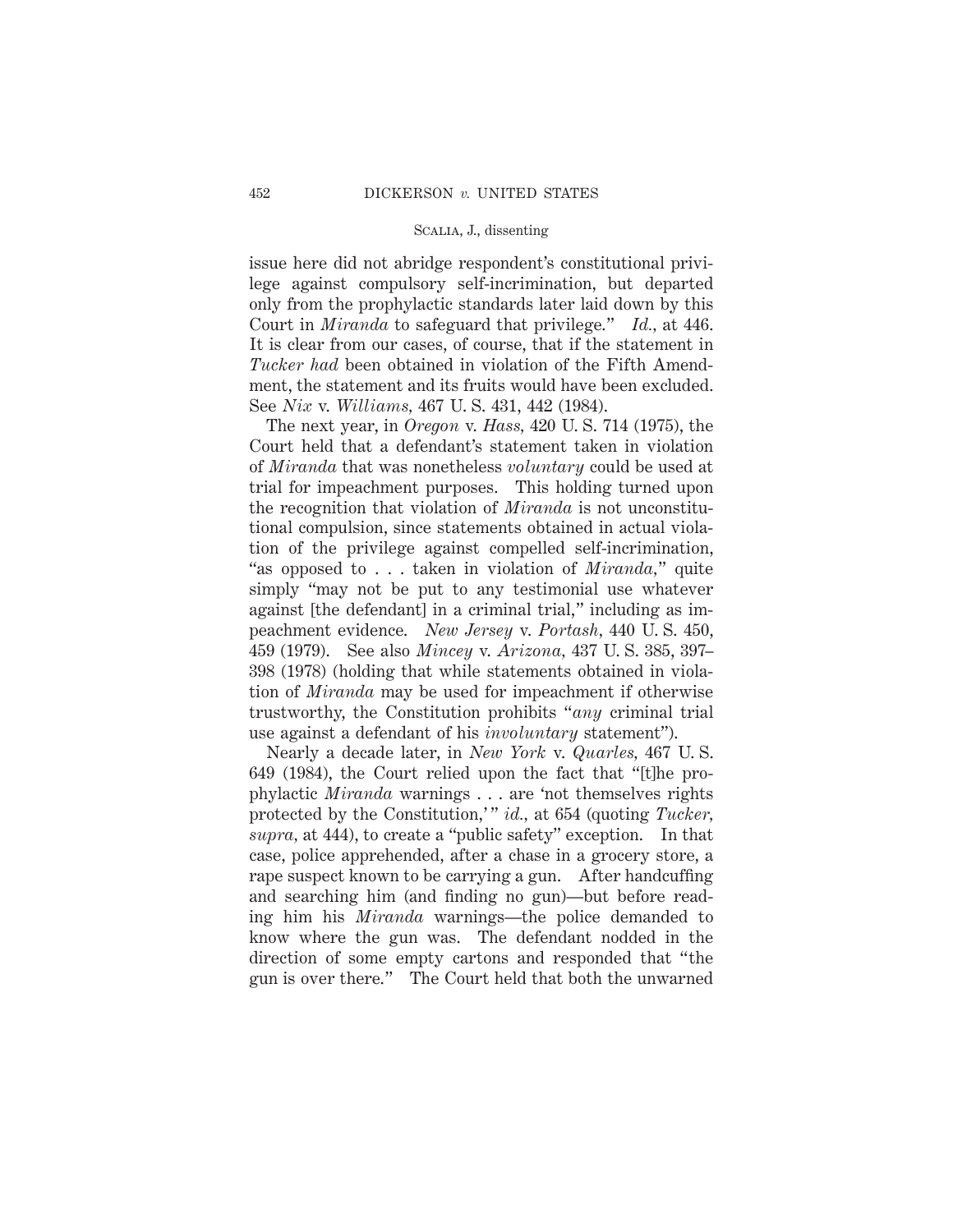issue here did not abridge respondent's constitutional privilege against compulsory self-incrimination, but departed only from the prophylactic standards later laid down by this Court in *Miranda* to safeguard that privilege." *Id.,* at 446. It is clear from our cases, of course, that if the statement in *Tucker had* been obtained in violation of the Fifth Amendment, the statement and its fruits would have been excluded. See *Nix* v. *Williams,* 467 U. S. 431, 442 (1984).

The next year, in *Oregon* v. *Hass,* 420 U. S. 714 (1975), the Court held that a defendant's statement taken in violation of *Miranda* that was nonetheless *voluntary* could be used at trial for impeachment purposes. This holding turned upon the recognition that violation of *Miranda* is not unconstitutional compulsion, since statements obtained in actual violation of the privilege against compelled self-incrimination, "as opposed to . . . taken in violation of *Miranda,*" quite simply "may not be put to any testimonial use whatever against [the defendant] in a criminal trial," including as impeachment evidence. *New Jersey* v. *Portash,* 440 U. S. 450, 459 (1979). See also *Mincey* v. *Arizona,* 437 U. S. 385, 397– 398 (1978) (holding that while statements obtained in violation of *Miranda* may be used for impeachment if otherwise trustworthy, the Constitution prohibits "*any* criminal trial use against a defendant of his *involuntary* statement").

Nearly a decade later, in *New York* v. *Quarles,* 467 U. S. 649 (1984), the Court relied upon the fact that "[t]he prophylactic *Miranda* warnings . . . are 'not themselves rights protected by the Constitution,'" *id.*, at 654 (quoting *Tucker*, *supra,* at 444), to create a "public safety" exception. In that case, police apprehended, after a chase in a grocery store, a rape suspect known to be carrying a gun. After handcuffing and searching him (and finding no gun)—but before reading him his *Miranda* warnings—the police demanded to know where the gun was. The defendant nodded in the direction of some empty cartons and responded that "the gun is over there." The Court held that both the unwarned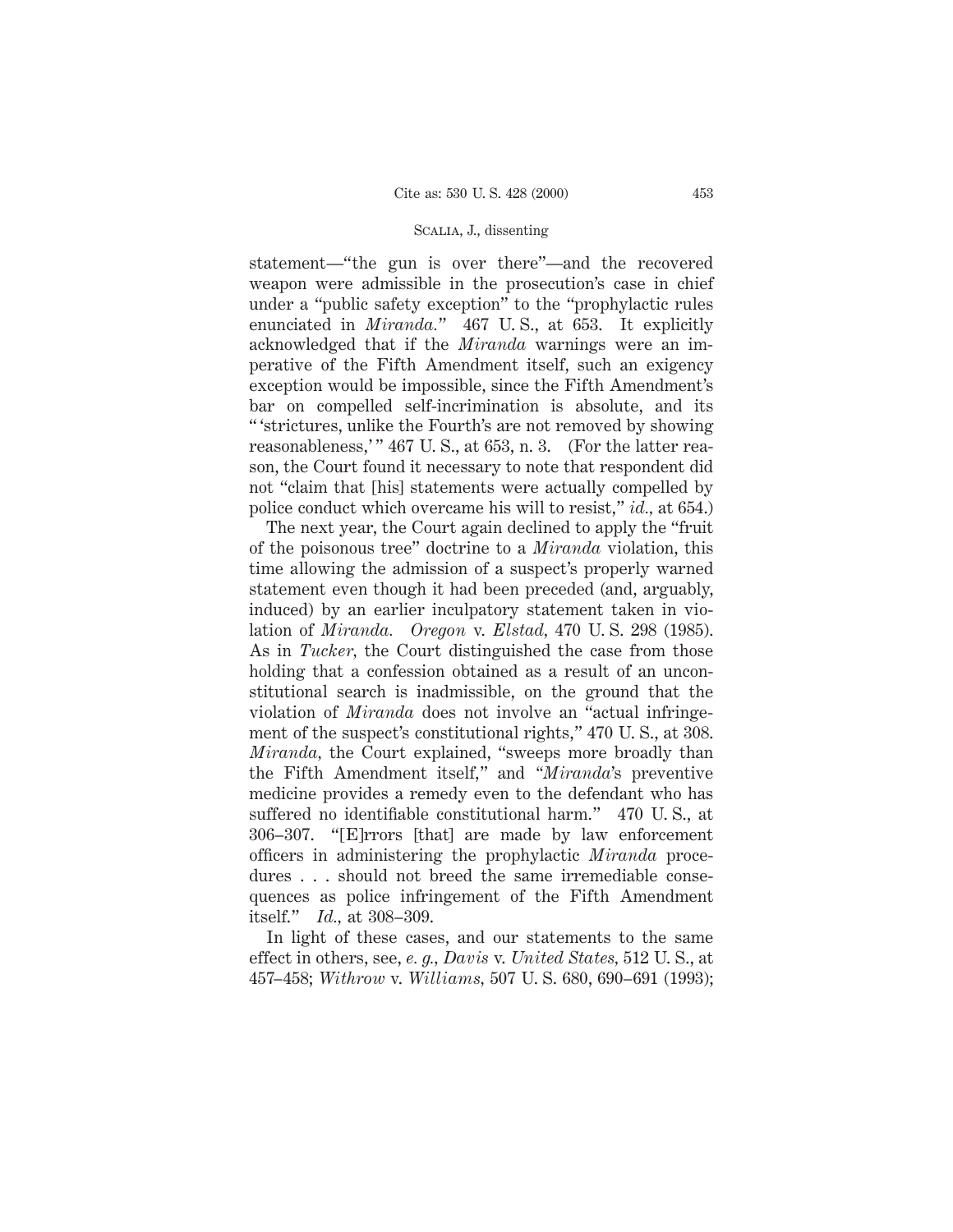statement—"the gun is over there"—and the recovered weapon were admissible in the prosecution's case in chief under a "public safety exception" to the "prophylactic rules enunciated in *Miranda.*" 467 U. S., at 653. It explicitly acknowledged that if the *Miranda* warnings were an imperative of the Fifth Amendment itself, such an exigency exception would be impossible, since the Fifth Amendment's bar on compelled self-incrimination is absolute, and its " 'strictures, unlike the Fourth's are not removed by showing reasonableness,'" 467 U.S., at 653, n. 3. (For the latter reason, the Court found it necessary to note that respondent did not "claim that [his] statements were actually compelled by police conduct which overcame his will to resist," *id.,* at 654.)

The next year, the Court again declined to apply the "fruit of the poisonous tree" doctrine to a *Miranda* violation, this time allowing the admission of a suspect's properly warned statement even though it had been preceded (and, arguably, induced) by an earlier inculpatory statement taken in violation of *Miranda. Oregon* v. *Elstad,* 470 U. S. 298 (1985). As in *Tucker,* the Court distinguished the case from those holding that a confession obtained as a result of an unconstitutional search is inadmissible, on the ground that the violation of *Miranda* does not involve an "actual infringement of the suspect's constitutional rights," 470 U. S., at 308. *Miranda,* the Court explained, "sweeps more broadly than the Fifth Amendment itself," and *"Miranda*'s preventive medicine provides a remedy even to the defendant who has suffered no identifiable constitutional harm." 470 U. S., at 306–307. "[E]rrors [that] are made by law enforcement officers in administering the prophylactic *Miranda* procedures . . . should not breed the same irremediable consequences as police infringement of the Fifth Amendment itself." *Id.,* at 308–309.

In light of these cases, and our statements to the same effect in others, see, *e. g., Davis* v. *United States,* 512 U. S., at 457–458; *Withrow* v. *Williams,* 507 U. S. 680, 690–691 (1993);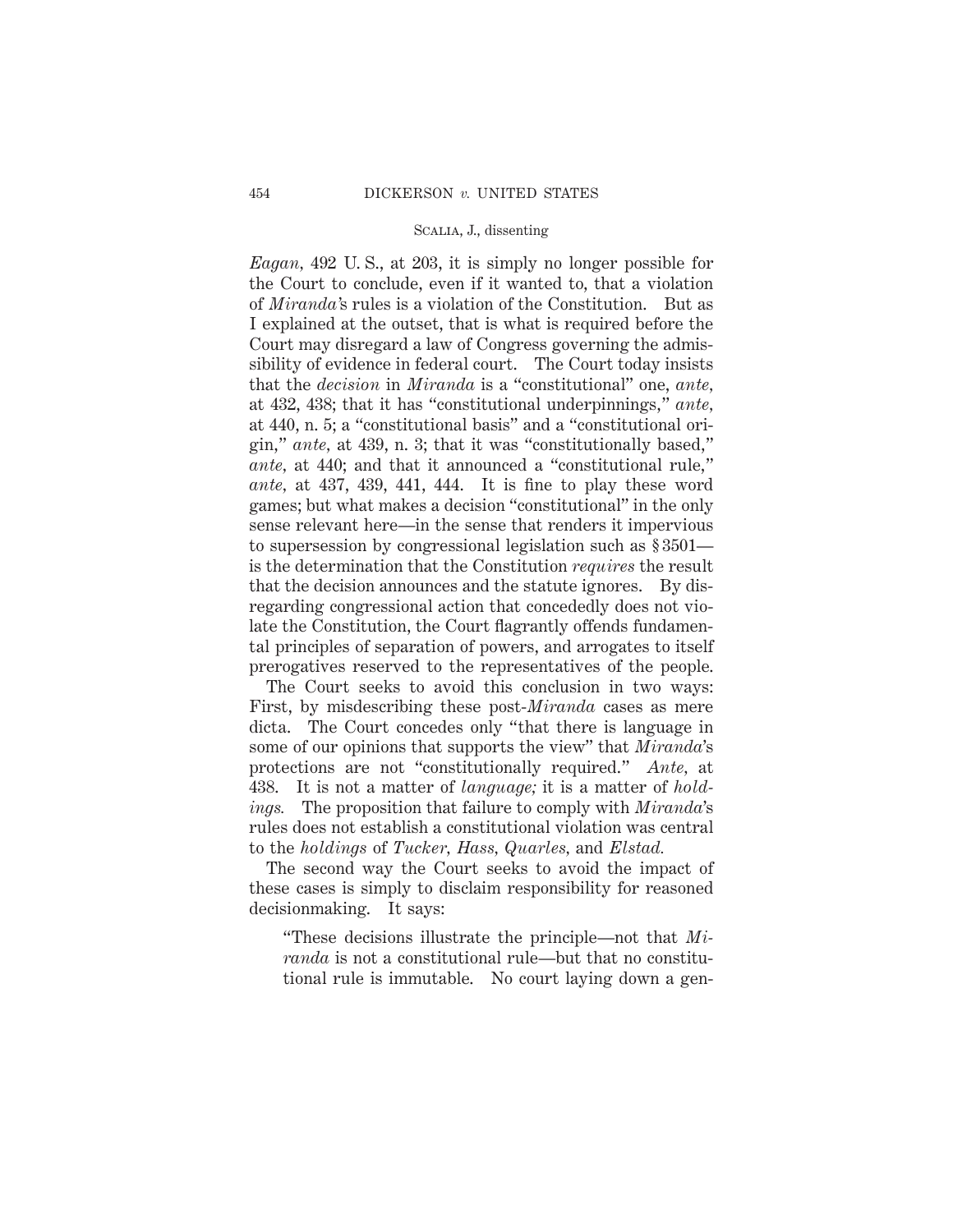*Eagan,* 492 U. S., at 203, it is simply no longer possible for the Court to conclude, even if it wanted to, that a violation of *Miranda'*s rules is a violation of the Constitution. But as I explained at the outset, that is what is required before the Court may disregard a law of Congress governing the admissibility of evidence in federal court. The Court today insists that the *decision* in *Miranda* is a "constitutional" one, *ante,* at 432, 438; that it has "constitutional underpinnings," *ante,* at 440, n. 5; a "constitutional basis" and a "constitutional origin," *ante,* at 439, n. 3; that it was "constitutionally based," *ante,* at 440; and that it announced a "constitutional rule," *ante,* at 437, 439, 441, 444. It is fine to play these word games; but what makes a decision "constitutional" in the only sense relevant here—in the sense that renders it impervious to supersession by congressional legislation such as § 3501 is the determination that the Constitution *requires* the result that the decision announces and the statute ignores. By disregarding congressional action that concededly does not violate the Constitution, the Court flagrantly offends fundamental principles of separation of powers, and arrogates to itself prerogatives reserved to the representatives of the people.

The Court seeks to avoid this conclusion in two ways: First, by misdescribing these post-*Miranda* cases as mere dicta. The Court concedes only "that there is language in some of our opinions that supports the view" that *Miranda*'s protections are not "constitutionally required." *Ante,* at 438. It is not a matter of *language;* it is a matter of *holdings.* The proposition that failure to comply with *Miranda*'s rules does not establish a constitutional violation was central to the *holdings* of *Tucker, Hass, Quarles,* and *Elstad.*

The second way the Court seeks to avoid the impact of these cases is simply to disclaim responsibility for reasoned decisionmaking. It says:

"These decisions illustrate the principle—not that *Miranda* is not a constitutional rule—but that no constitutional rule is immutable. No court laying down a gen-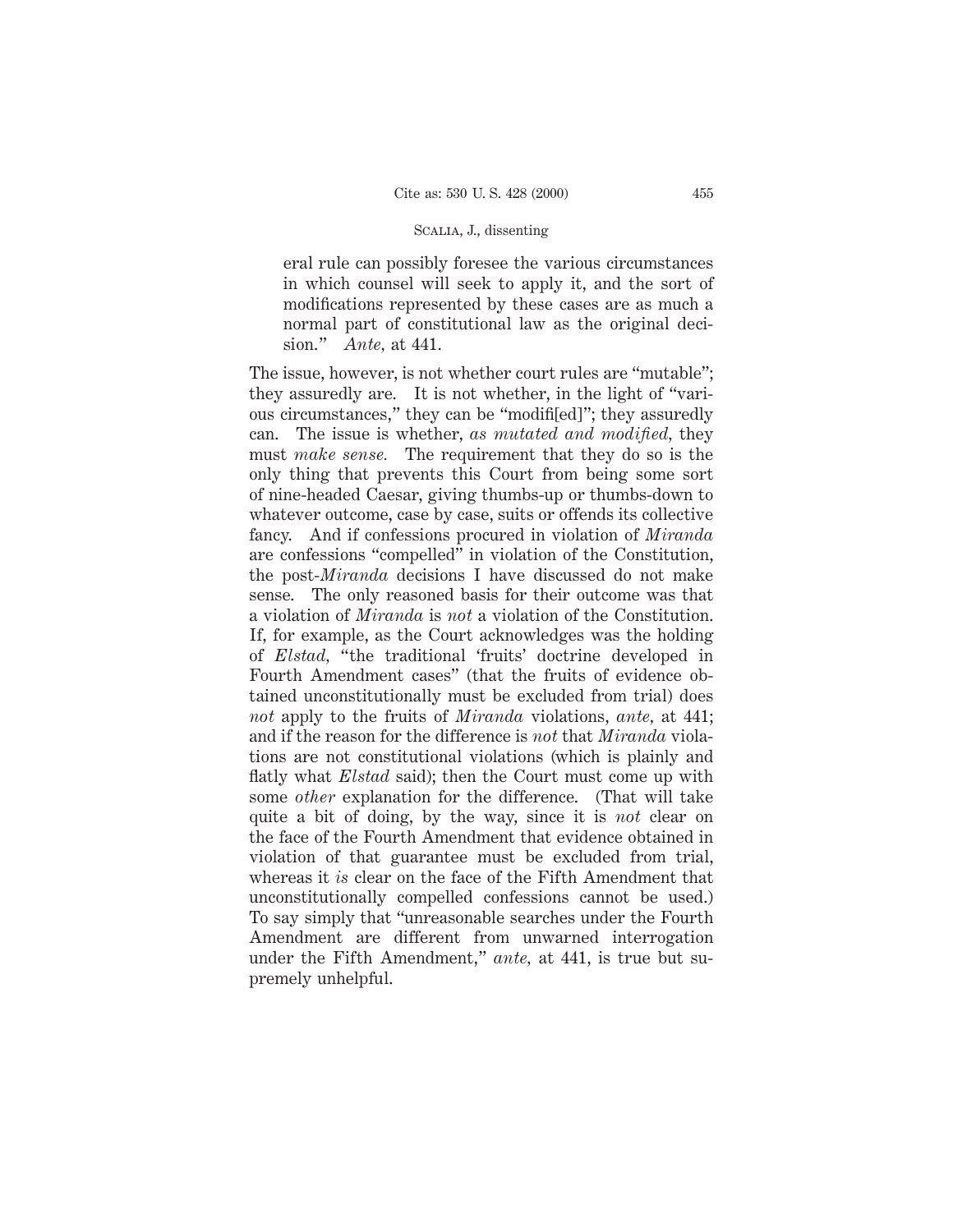eral rule can possibly foresee the various circumstances in which counsel will seek to apply it, and the sort of modifications represented by these cases are as much a normal part of constitutional law as the original decision." *Ante,* at 441.

The issue, however, is not whether court rules are "mutable"; they assuredly are. It is not whether, in the light of "various circumstances," they can be "modifi[ed]"; they assuredly can. The issue is whether, *as mutated and modified,* they must *make sense.* The requirement that they do so is the only thing that prevents this Court from being some sort of nine-headed Caesar, giving thumbs-up or thumbs-down to whatever outcome, case by case, suits or offends its collective fancy. And if confessions procured in violation of *Miranda* are confessions "compelled" in violation of the Constitution, the post-*Miranda* decisions I have discussed do not make sense. The only reasoned basis for their outcome was that a violation of *Miranda* is *not* a violation of the Constitution. If, for example, as the Court acknowledges was the holding of *Elstad,* "the traditional 'fruits' doctrine developed in Fourth Amendment cases" (that the fruits of evidence obtained unconstitutionally must be excluded from trial) does *not* apply to the fruits of *Miranda* violations, *ante,* at 441; and if the reason for the difference is *not* that *Miranda* violations are not constitutional violations (which is plainly and flatly what *Elstad* said); then the Court must come up with some *other* explanation for the difference. (That will take quite a bit of doing, by the way, since it is *not* clear on the face of the Fourth Amendment that evidence obtained in violation of that guarantee must be excluded from trial, whereas it *is* clear on the face of the Fifth Amendment that unconstitutionally compelled confessions cannot be used.) To say simply that "unreasonable searches under the Fourth Amendment are different from unwarned interrogation under the Fifth Amendment," *ante,* at 441, is true but supremely unhelpful.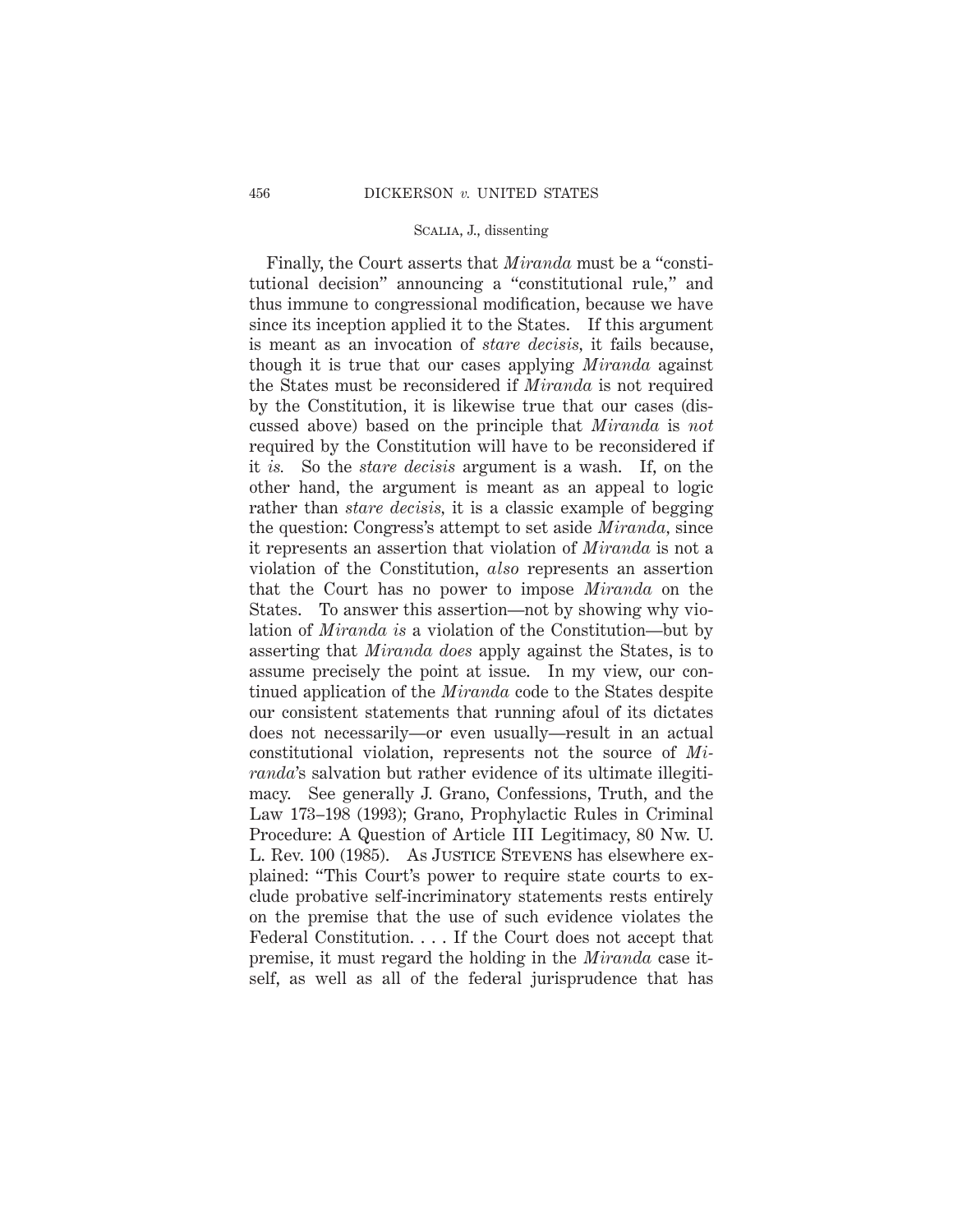Finally, the Court asserts that *Miranda* must be a "constitutional decision" announcing a "constitutional rule," and thus immune to congressional modification, because we have since its inception applied it to the States. If this argument is meant as an invocation of *stare decisis,* it fails because, though it is true that our cases applying *Miranda* against the States must be reconsidered if *Miranda* is not required by the Constitution, it is likewise true that our cases (discussed above) based on the principle that *Miranda* is *not* required by the Constitution will have to be reconsidered if it *is.* So the *stare decisis* argument is a wash. If, on the other hand, the argument is meant as an appeal to logic rather than *stare decisis,* it is a classic example of begging the question: Congress's attempt to set aside *Miranda,* since it represents an assertion that violation of *Miranda* is not a violation of the Constitution, *also* represents an assertion that the Court has no power to impose *Miranda* on the States. To answer this assertion—not by showing why violation of *Miranda is* a violation of the Constitution—but by asserting that *Miranda does* apply against the States, is to assume precisely the point at issue. In my view, our continued application of the *Miranda* code to the States despite our consistent statements that running afoul of its dictates does not necessarily—or even usually—result in an actual constitutional violation, represents not the source of *Miranda*'s salvation but rather evidence of its ultimate illegitimacy. See generally J. Grano, Confessions, Truth, and the Law 173–198 (1993); Grano, Prophylactic Rules in Criminal Procedure: A Question of Article III Legitimacy, 80 Nw. U. L. Rev. 100 (1985). As JUSTICE STEVENS has elsewhere explained: "This Court's power to require state courts to exclude probative self-incriminatory statements rests entirely on the premise that the use of such evidence violates the Federal Constitution. . . . If the Court does not accept that premise, it must regard the holding in the *Miranda* case itself, as well as all of the federal jurisprudence that has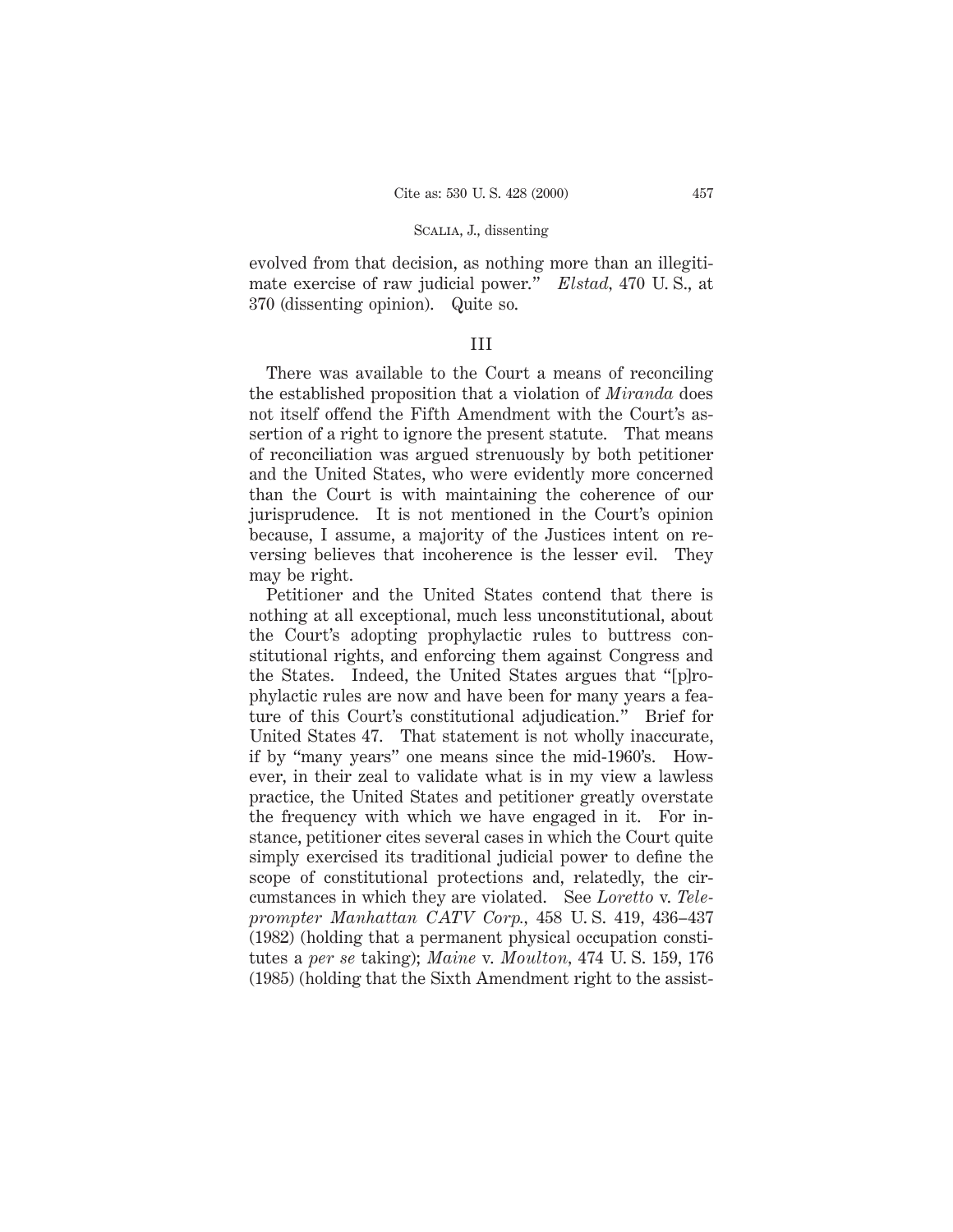evolved from that decision, as nothing more than an illegitimate exercise of raw judicial power." *Elstad,* 470 U. S., at 370 (dissenting opinion). Quite so.

### III

There was available to the Court a means of reconciling the established proposition that a violation of *Miranda* does not itself offend the Fifth Amendment with the Court's assertion of a right to ignore the present statute. That means of reconciliation was argued strenuously by both petitioner and the United States, who were evidently more concerned than the Court is with maintaining the coherence of our jurisprudence. It is not mentioned in the Court's opinion because, I assume, a majority of the Justices intent on reversing believes that incoherence is the lesser evil. They may be right.

Petitioner and the United States contend that there is nothing at all exceptional, much less unconstitutional, about the Court's adopting prophylactic rules to buttress constitutional rights, and enforcing them against Congress and the States. Indeed, the United States argues that "[p]rophylactic rules are now and have been for many years a feature of this Court's constitutional adjudication." Brief for United States 47. That statement is not wholly inaccurate, if by "many years" one means since the mid-1960's. However, in their zeal to validate what is in my view a lawless practice, the United States and petitioner greatly overstate the frequency with which we have engaged in it. For instance, petitioner cites several cases in which the Court quite simply exercised its traditional judicial power to define the scope of constitutional protections and, relatedly, the circumstances in which they are violated. See *Loretto* v. *Teleprompter Manhattan CATV Corp.,* 458 U. S. 419, 436–437 (1982) (holding that a permanent physical occupation constitutes a *per se* taking); *Maine* v. *Moulton,* 474 U. S. 159, 176 (1985) (holding that the Sixth Amendment right to the assist-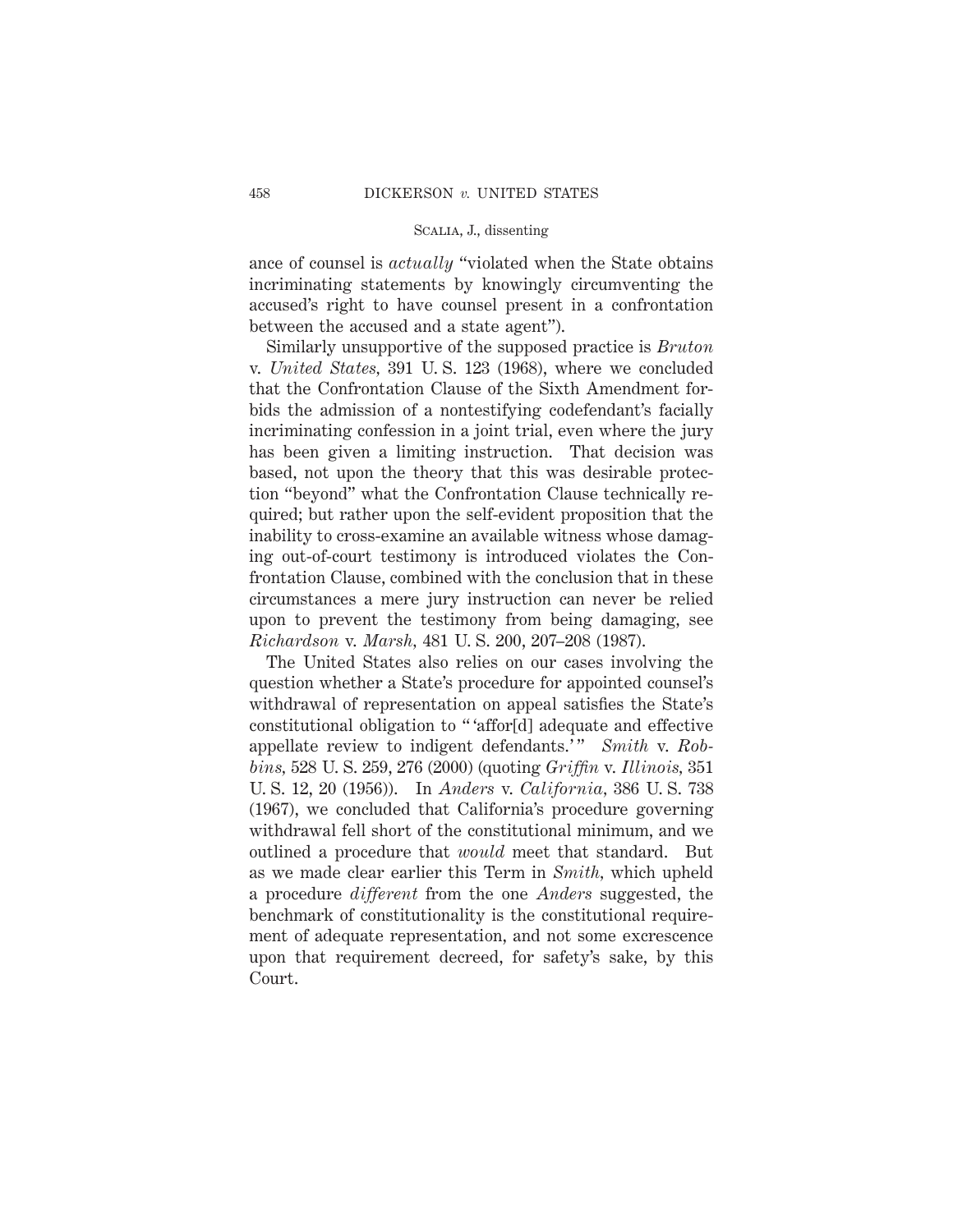ance of counsel is *actually* "violated when the State obtains incriminating statements by knowingly circumventing the accused's right to have counsel present in a confrontation between the accused and a state agent").

Similarly unsupportive of the supposed practice is *Bruton* v. *United States,* 391 U. S. 123 (1968), where we concluded that the Confrontation Clause of the Sixth Amendment forbids the admission of a nontestifying codefendant's facially incriminating confession in a joint trial, even where the jury has been given a limiting instruction. That decision was based, not upon the theory that this was desirable protection "beyond" what the Confrontation Clause technically required; but rather upon the self-evident proposition that the inability to cross-examine an available witness whose damaging out-of-court testimony is introduced violates the Confrontation Clause, combined with the conclusion that in these circumstances a mere jury instruction can never be relied upon to prevent the testimony from being damaging, see *Richardson* v. *Marsh,* 481 U. S. 200, 207–208 (1987).

The United States also relies on our cases involving the question whether a State's procedure for appointed counsel's withdrawal of representation on appeal satisfies the State's constitutional obligation to " 'affor[d] adequate and effective appellate review to indigent defendants.'" *Smith* v. Rob*bins,* 528 U. S. 259, 276 (2000) (quoting *Griffin* v. *Illinois,* 351 U. S. 12, 20 (1956)). In *Anders* v. *California,* 386 U. S. 738 (1967), we concluded that California's procedure governing withdrawal fell short of the constitutional minimum, and we outlined a procedure that *would* meet that standard. But as we made clear earlier this Term in *Smith,* which upheld a procedure *different* from the one *Anders* suggested, the benchmark of constitutionality is the constitutional requirement of adequate representation, and not some excrescence upon that requirement decreed, for safety's sake, by this Court.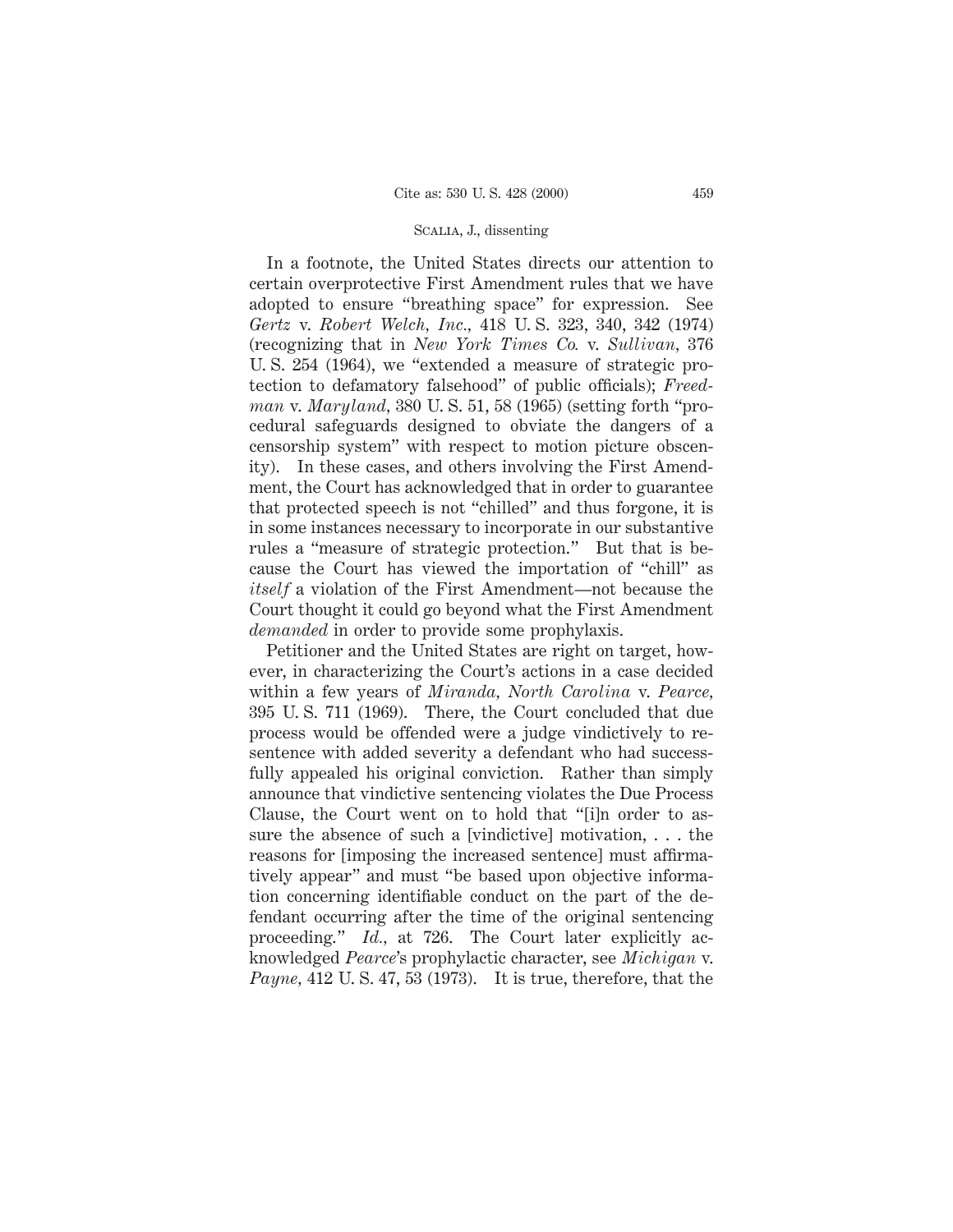In a footnote, the United States directs our attention to certain overprotective First Amendment rules that we have adopted to ensure "breathing space" for expression. See *Gertz* v. *Robert Welch, Inc.,* 418 U. S. 323, 340, 342 (1974) (recognizing that in *New York Times Co.* v. *Sullivan,* 376 U. S. 254 (1964), we "extended a measure of strategic protection to defamatory falsehood" of public officials); *Freedman* v. *Maryland,* 380 U. S. 51, 58 (1965) (setting forth "procedural safeguards designed to obviate the dangers of a censorship system" with respect to motion picture obscenity). In these cases, and others involving the First Amendment, the Court has acknowledged that in order to guarantee that protected speech is not "chilled" and thus forgone, it is in some instances necessary to incorporate in our substantive rules a "measure of strategic protection." But that is because the Court has viewed the importation of "chill" as *itself* a violation of the First Amendment—not because the Court thought it could go beyond what the First Amendment *demanded* in order to provide some prophylaxis.

Petitioner and the United States are right on target, however, in characterizing the Court's actions in a case decided within a few years of *Miranda, North Carolina* v. *Pearce,* 395 U. S. 711 (1969). There, the Court concluded that due process would be offended were a judge vindictively to resentence with added severity a defendant who had successfully appealed his original conviction. Rather than simply announce that vindictive sentencing violates the Due Process Clause, the Court went on to hold that "[i]n order to assure the absence of such a [vindictive] motivation, . . . the reasons for [imposing the increased sentence] must affirmatively appear" and must "be based upon objective information concerning identifiable conduct on the part of the defendant occurring after the time of the original sentencing proceeding." *Id.,* at 726. The Court later explicitly acknowledged *Pearce*'s prophylactic character, see *Michigan* v. *Payne,* 412 U. S. 47, 53 (1973). It is true, therefore, that the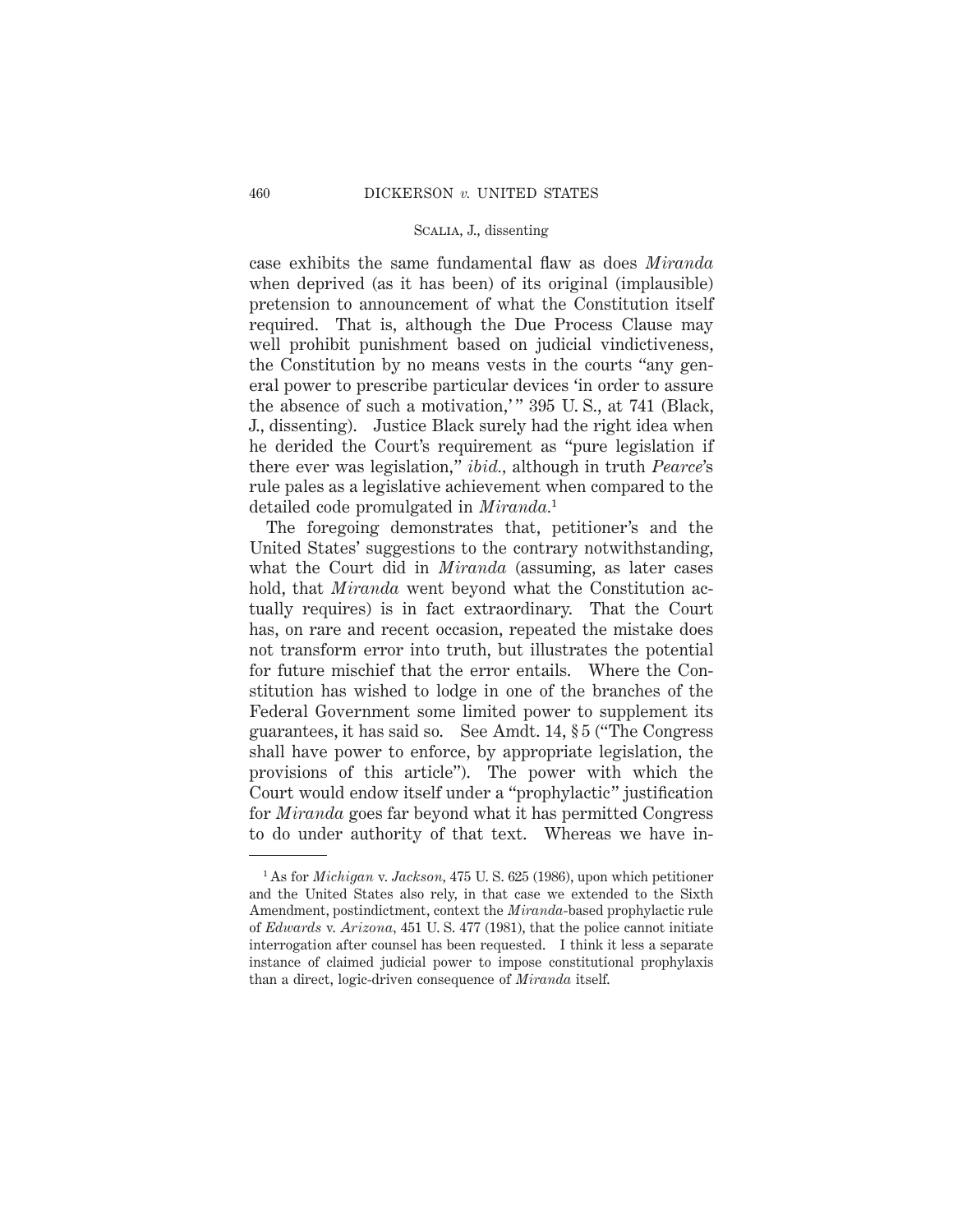case exhibits the same fundamental flaw as does *Miranda* when deprived (as it has been) of its original (implausible) pretension to announcement of what the Constitution itself required. That is, although the Due Process Clause may well prohibit punishment based on judicial vindictiveness, the Constitution by no means vests in the courts "any general power to prescribe particular devices 'in order to assure the absence of such a motivation,'" 395 U.S., at 741 (Black, J., dissenting). Justice Black surely had the right idea when he derided the Court's requirement as "pure legislation if there ever was legislation," *ibid.,* although in truth *Pearce*'s rule pales as a legislative achievement when compared to the detailed code promulgated in *Miranda.*<sup>1</sup>

The foregoing demonstrates that, petitioner's and the United States' suggestions to the contrary notwithstanding, what the Court did in *Miranda* (assuming, as later cases hold, that *Miranda* went beyond what the Constitution actually requires) is in fact extraordinary. That the Court has, on rare and recent occasion, repeated the mistake does not transform error into truth, but illustrates the potential for future mischief that the error entails. Where the Constitution has wished to lodge in one of the branches of the Federal Government some limited power to supplement its guarantees, it has said so. See Amdt. 14, § 5 ("The Congress shall have power to enforce, by appropriate legislation, the provisions of this article"). The power with which the Court would endow itself under a "prophylactic" justification for *Miranda* goes far beyond what it has permitted Congress to do under authority of that text. Whereas we have in-

<sup>1</sup> As for *Michigan* v. *Jackson,* 475 U. S. 625 (1986), upon which petitioner and the United States also rely, in that case we extended to the Sixth Amendment, postindictment, context the *Miranda*-based prophylactic rule of *Edwards* v. *Arizona,* 451 U. S. 477 (1981), that the police cannot initiate interrogation after counsel has been requested. I think it less a separate instance of claimed judicial power to impose constitutional prophylaxis than a direct, logic-driven consequence of *Miranda* itself.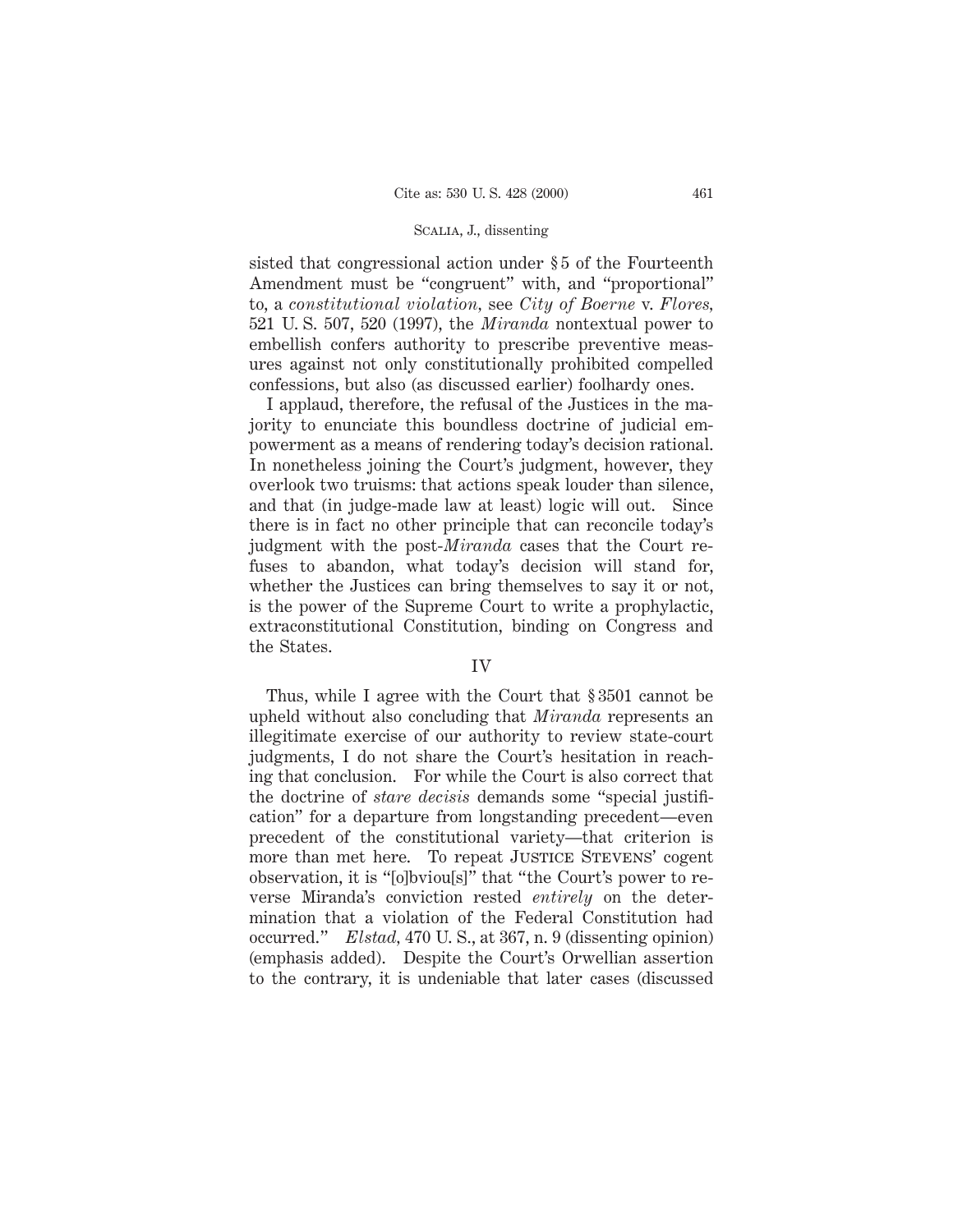sisted that congressional action under § 5 of the Fourteenth Amendment must be "congruent" with, and "proportional" to, a *constitutional violation,* see *City of Boerne* v. *Flores,* 521 U. S. 507, 520 (1997), the *Miranda* nontextual power to embellish confers authority to prescribe preventive measures against not only constitutionally prohibited compelled confessions, but also (as discussed earlier) foolhardy ones.

I applaud, therefore, the refusal of the Justices in the majority to enunciate this boundless doctrine of judicial empowerment as a means of rendering today's decision rational. In nonetheless joining the Court's judgment, however, they overlook two truisms: that actions speak louder than silence, and that (in judge-made law at least) logic will out. Since there is in fact no other principle that can reconcile today's judgment with the post-*Miranda* cases that the Court refuses to abandon, what today's decision will stand for, whether the Justices can bring themselves to say it or not, is the power of the Supreme Court to write a prophylactic, extraconstitutional Constitution, binding on Congress and the States.

# IV

Thus, while I agree with the Court that § 3501 cannot be upheld without also concluding that *Miranda* represents an illegitimate exercise of our authority to review state-court judgments, I do not share the Court's hesitation in reaching that conclusion. For while the Court is also correct that the doctrine of *stare decisis* demands some "special justification" for a departure from longstanding precedent—even precedent of the constitutional variety—that criterion is more than met here. To repeat JUSTICE STEVENS' cogent observation, it is "[o]bviou[s]" that "the Court's power to reverse Miranda's conviction rested *entirely* on the determination that a violation of the Federal Constitution had occurred." *Elstad,* 470 U. S., at 367, n. 9 (dissenting opinion) (emphasis added). Despite the Court's Orwellian assertion to the contrary, it is undeniable that later cases (discussed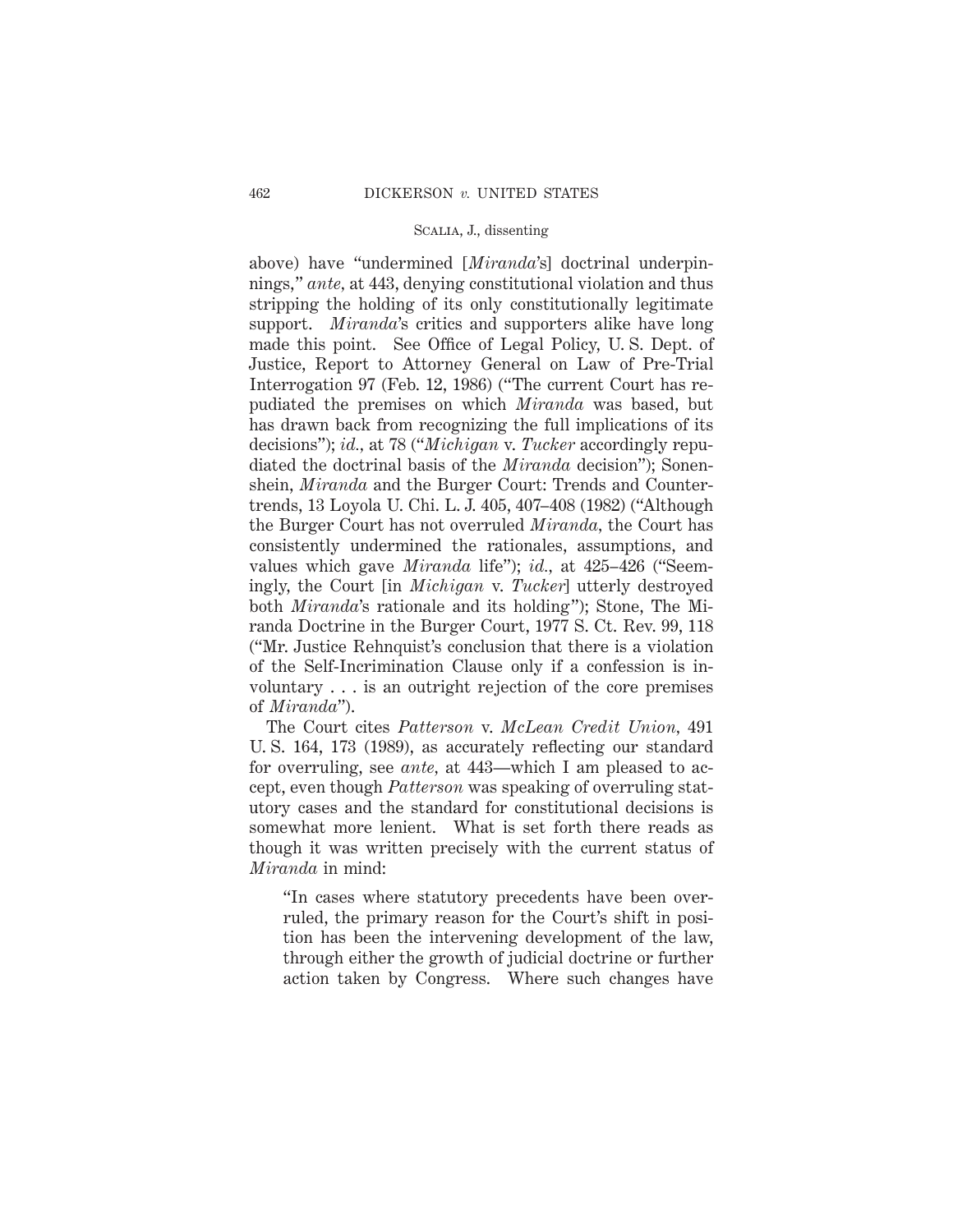above) have "undermined [*Miranda*'s] doctrinal underpinnings," *ante,* at 443, denying constitutional violation and thus stripping the holding of its only constitutionally legitimate support. *Miranda*'s critics and supporters alike have long made this point. See Office of Legal Policy, U. S. Dept. of Justice, Report to Attorney General on Law of Pre-Trial Interrogation 97 (Feb. 12, 1986) ("The current Court has repudiated the premises on which *Miranda* was based, but has drawn back from recognizing the full implications of its decisions"); *id.,* at 78 ("*Michigan* v. *Tucker* accordingly repudiated the doctrinal basis of the *Miranda* decision"); Sonenshein, *Miranda* and the Burger Court: Trends and Countertrends, 13 Loyola U. Chi. L. J. 405, 407–408 (1982) ("Although the Burger Court has not overruled *Miranda,* the Court has consistently undermined the rationales, assumptions, and values which gave *Miranda* life"); *id.,* at 425–426 ("Seemingly, the Court [in *Michigan* v. *Tucker*] utterly destroyed both *Miranda*'s rationale and its holding"); Stone, The Miranda Doctrine in the Burger Court, 1977 S. Ct. Rev. 99, 118 ("Mr. Justice Rehnquist's conclusion that there is a violation of the Self-Incrimination Clause only if a confession is involuntary . . . is an outright rejection of the core premises of *Miranda*").

The Court cites *Patterson* v. *McLean Credit Union,* 491 U. S. 164, 173 (1989), as accurately reflecting our standard for overruling, see *ante,* at 443—which I am pleased to accept, even though *Patterson* was speaking of overruling statutory cases and the standard for constitutional decisions is somewhat more lenient. What is set forth there reads as though it was written precisely with the current status of *Miranda* in mind:

"In cases where statutory precedents have been overruled, the primary reason for the Court's shift in position has been the intervening development of the law, through either the growth of judicial doctrine or further action taken by Congress. Where such changes have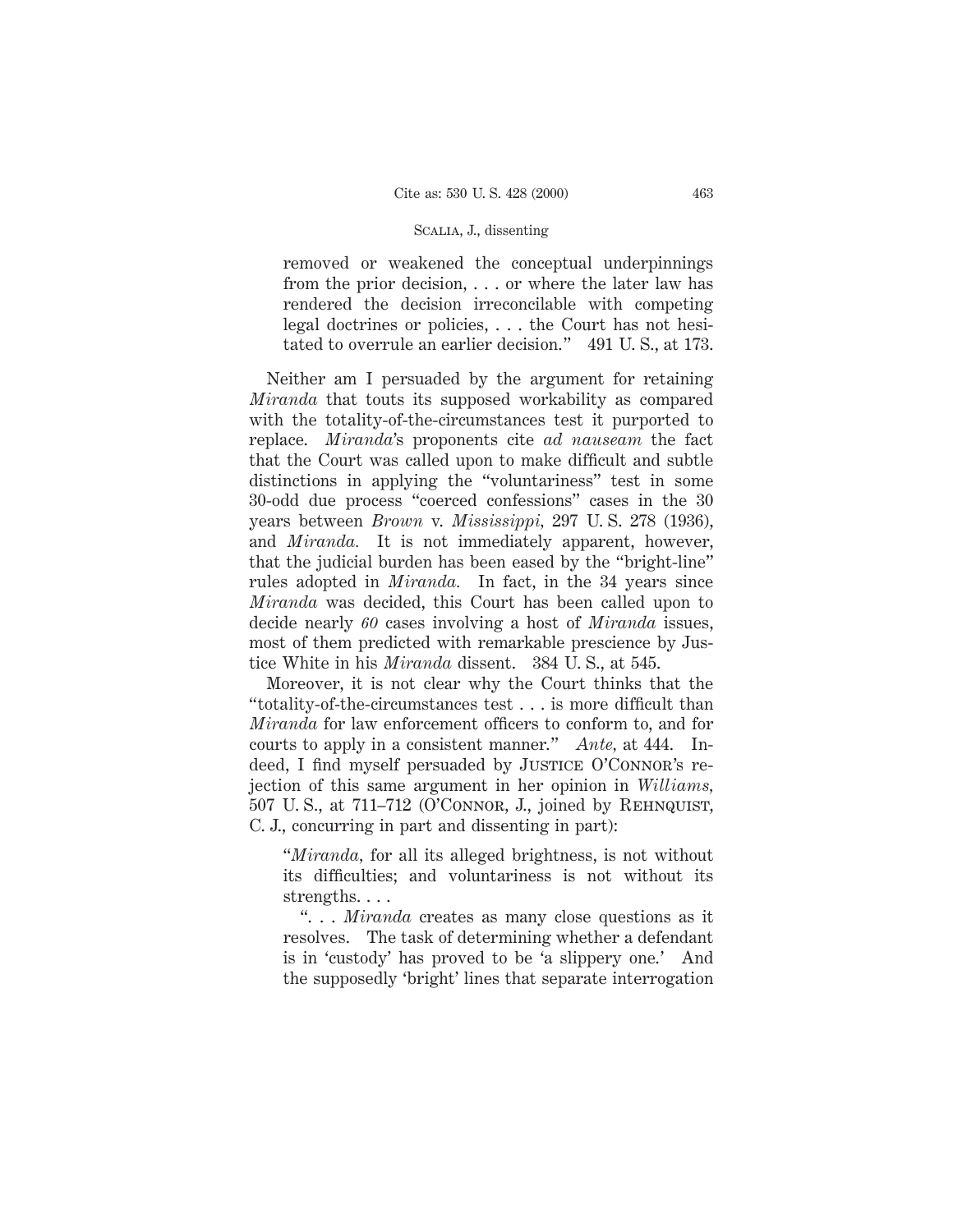removed or weakened the conceptual underpinnings from the prior decision, . . . or where the later law has rendered the decision irreconcilable with competing legal doctrines or policies, . . . the Court has not hesitated to overrule an earlier decision." 491 U. S., at 173.

Neither am I persuaded by the argument for retaining *Miranda* that touts its supposed workability as compared with the totality-of-the-circumstances test it purported to replace. *Miranda*'s proponents cite *ad nauseam* the fact that the Court was called upon to make difficult and subtle distinctions in applying the "voluntariness" test in some 30-odd due process "coerced confessions" cases in the 30 years between *Brown* v. *Mississippi,* 297 U. S. 278 (1936), and *Miranda.* It is not immediately apparent, however, that the judicial burden has been eased by the "bright-line" rules adopted in *Miranda.* In fact, in the 34 years since *Miranda* was decided, this Court has been called upon to decide nearly *60* cases involving a host of *Miranda* issues, most of them predicted with remarkable prescience by Justice White in his *Miranda* dissent. 384 U. S., at 545.

Moreover, it is not clear why the Court thinks that the "totality-of-the-circumstances test . . . is more difficult than *Miranda* for law enforcement officers to conform to, and for courts to apply in a consistent manner." *Ante,* at 444. Indeed, I find myself persuaded by JUSTICE O'CONNOR's rejection of this same argument in her opinion in *Williams,* 507 U. S., at 711–712 (O'Connor, J., joined by Rehnquist, C. J., concurring in part and dissenting in part):

"*Miranda,* for all its alleged brightness, is not without its difficulties; and voluntariness is not without its strengths....

". . . *Miranda* creates as many close questions as it resolves. The task of determining whether a defendant is in 'custody' has proved to be 'a slippery one.' And the supposedly 'bright' lines that separate interrogation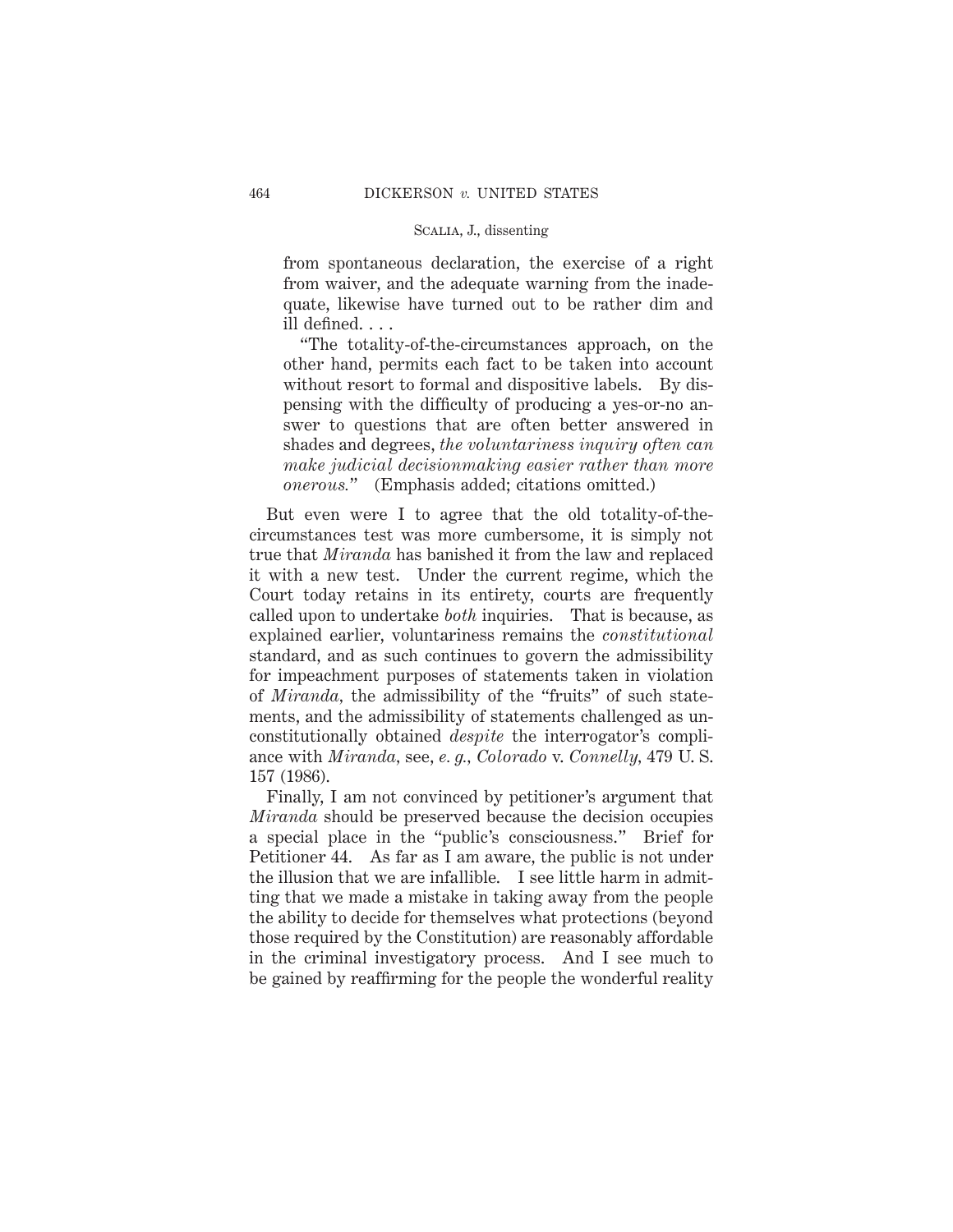from spontaneous declaration, the exercise of a right from waiver, and the adequate warning from the inadequate, likewise have turned out to be rather dim and ill defined. . . .

"The totality-of-the-circumstances approach, on the other hand, permits each fact to be taken into account without resort to formal and dispositive labels. By dispensing with the difficulty of producing a yes-or-no answer to questions that are often better answered in shades and degrees, *the voluntariness inquiry often can make judicial decisionmaking easier rather than more onerous.*" (Emphasis added; citations omitted.)

But even were I to agree that the old totality-of-thecircumstances test was more cumbersome, it is simply not true that *Miranda* has banished it from the law and replaced it with a new test. Under the current regime, which the Court today retains in its entirety, courts are frequently called upon to undertake *both* inquiries. That is because, as explained earlier, voluntariness remains the *constitutional* standard, and as such continues to govern the admissibility for impeachment purposes of statements taken in violation of *Miranda,* the admissibility of the "fruits" of such statements, and the admissibility of statements challenged as unconstitutionally obtained *despite* the interrogator's compliance with *Miranda,* see, *e. g., Colorado* v. *Connelly,* 479 U. S. 157 (1986).

Finally, I am not convinced by petitioner's argument that *Miranda* should be preserved because the decision occupies a special place in the "public's consciousness." Brief for Petitioner 44. As far as I am aware, the public is not under the illusion that we are infallible. I see little harm in admitting that we made a mistake in taking away from the people the ability to decide for themselves what protections (beyond those required by the Constitution) are reasonably affordable in the criminal investigatory process. And I see much to be gained by reaffirming for the people the wonderful reality